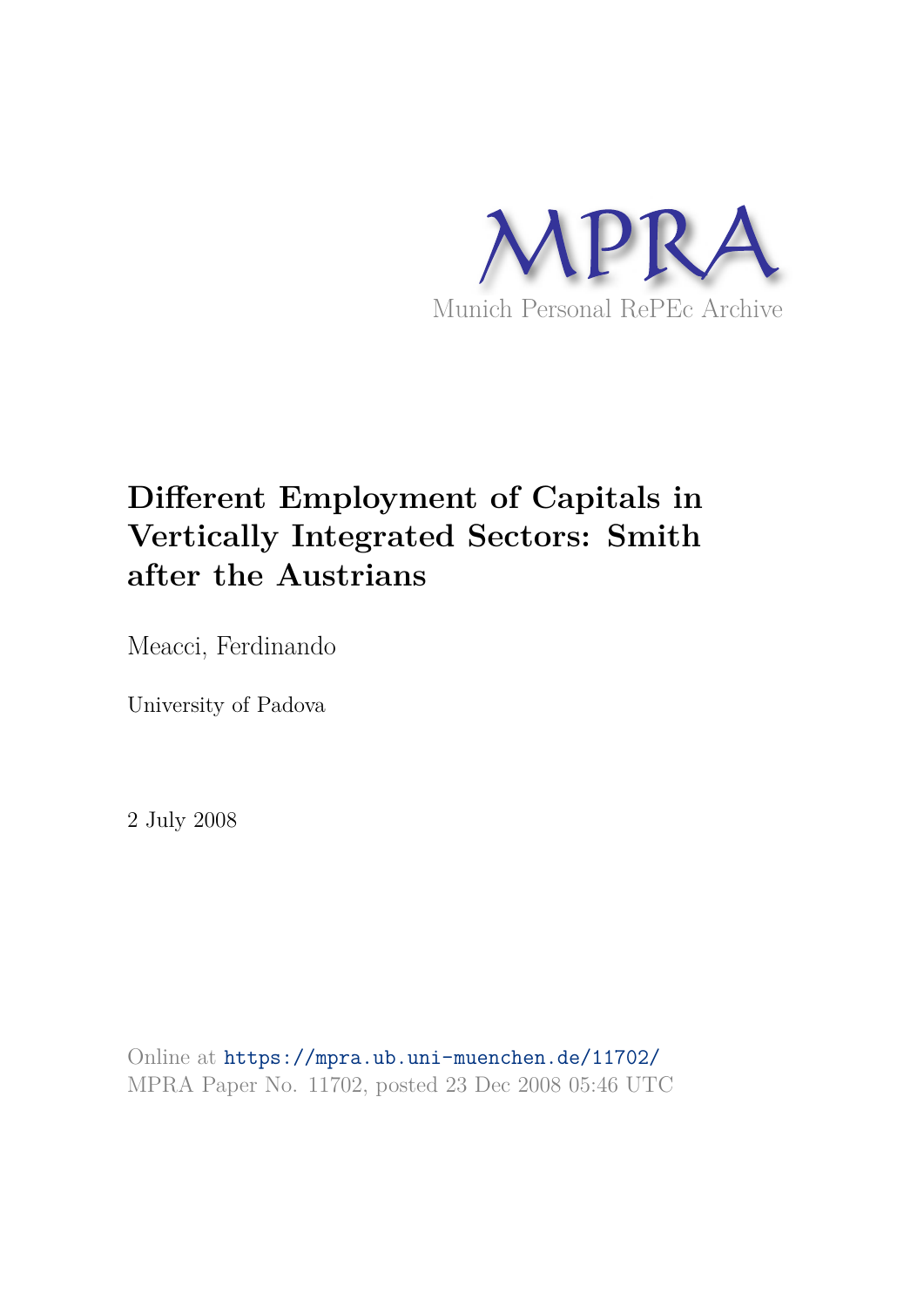

# **Different Employment of Capitals in Vertically Integrated Sectors: Smith after the Austrians**

Meacci, Ferdinando

University of Padova

2 July 2008

Online at https://mpra.ub.uni-muenchen.de/11702/ MPRA Paper No. 11702, posted 23 Dec 2008 05:46 UTC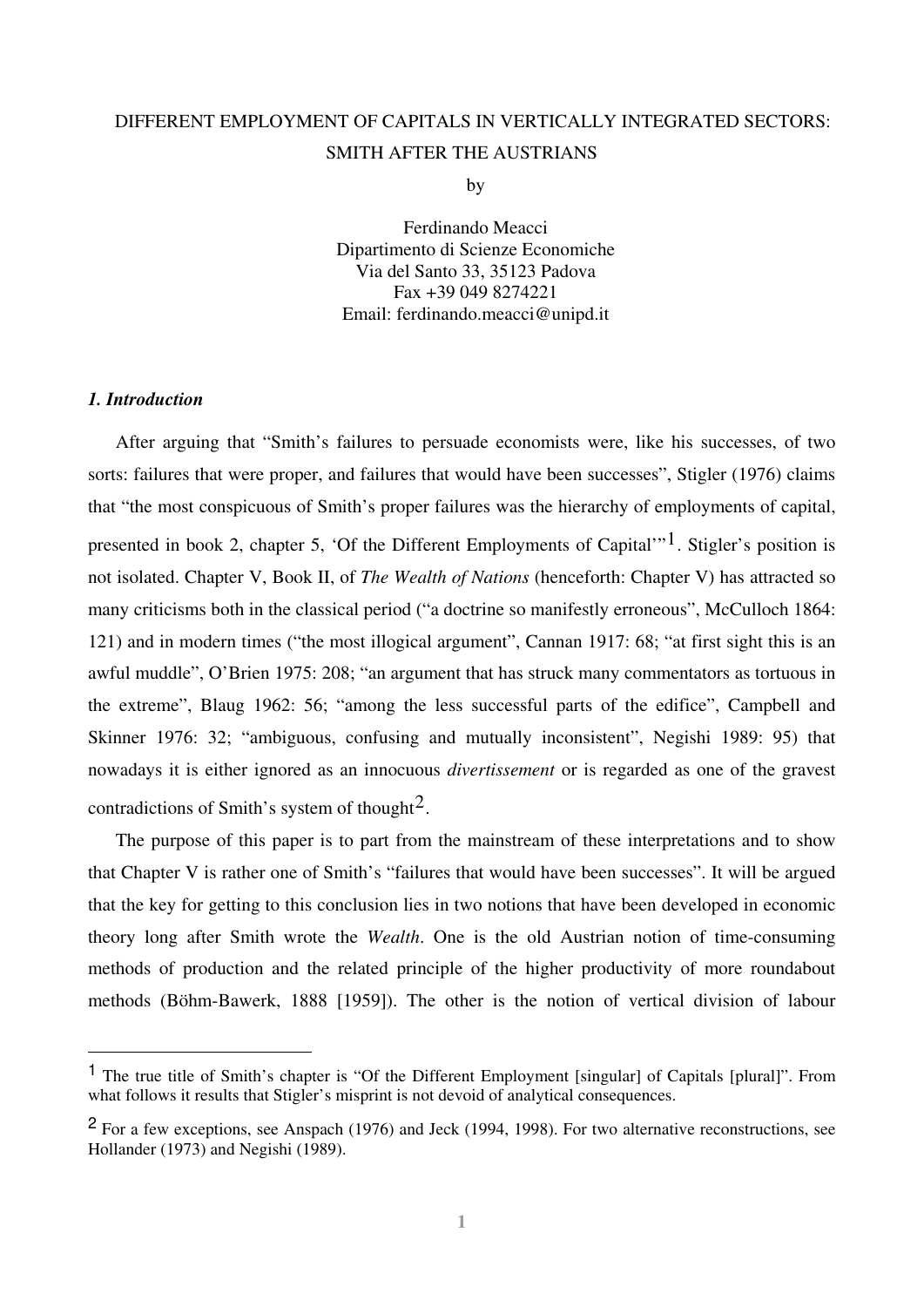# DIFFERENT EMPLOYMENT OF CAPITALS IN VERTICALLY INTEGRATED SECTORS: SMITH AFTER THE AUSTRIANS

by

Ferdinando Meacci Dipartimento di Scienze Economiche Via del Santo 33, 35123 Padova Fax +39 049 8274221 Email: ferdinando.meacci@unipd.it

## *1. Introduction*

 $\overline{a}$ 

After arguing that "Smith's failures to persuade economists were, like his successes, of two sorts: failures that were proper, and failures that would have been successes", Stigler (1976) claims that "the most conspicuous of Smith's proper failures was the hierarchy of employments of capital, presented in book 2, chapter 5, 'Of the Different Employments of Capital'"[1](#page-1-0). Stigler's position is not isolated. Chapter V, Book II, of *The Wealth of Nations* (henceforth: Chapter V) has attracted so many criticisms both in the classical period ("a doctrine so manifestly erroneous", McCulloch 1864: 121) and in modern times ("the most illogical argument", Cannan 1917: 68; "at first sight this is an awful muddle", O'Brien 1975: 208; "an argument that has struck many commentators as tortuous in the extreme", Blaug 1962: 56; "among the less successful parts of the edifice", Campbell and Skinner 1976: 32; "ambiguous, confusing and mutually inconsistent", Negishi 1989: 95) that nowadays it is either ignored as an innocuous *divertissement* or is regarded as one of the gravest contradictions of Smith's system of thought<sup>[2](#page-1-1)</sup>.

The purpose of this paper is to part from the mainstream of these interpretations and to show that Chapter V is rather one of Smith's "failures that would have been successes". It will be argued that the key for getting to this conclusion lies in two notions that have been developed in economic theory long after Smith wrote the *Wealth*. One is the old Austrian notion of time-consuming methods of production and the related principle of the higher productivity of more roundabout methods (Böhm-Bawerk, 1888 [1959]). The other is the notion of vertical division of labour

<span id="page-1-0"></span><sup>1</sup> The true title of Smith's chapter is "Of the Different Employment [singular] of Capitals [plural]". From what follows it results that Stigler's misprint is not devoid of analytical consequences.

<span id="page-1-1"></span><sup>2</sup> For a few exceptions, see Anspach (1976) and Jeck (1994, 1998). For two alternative reconstructions, see Hollander (1973) and Negishi (1989).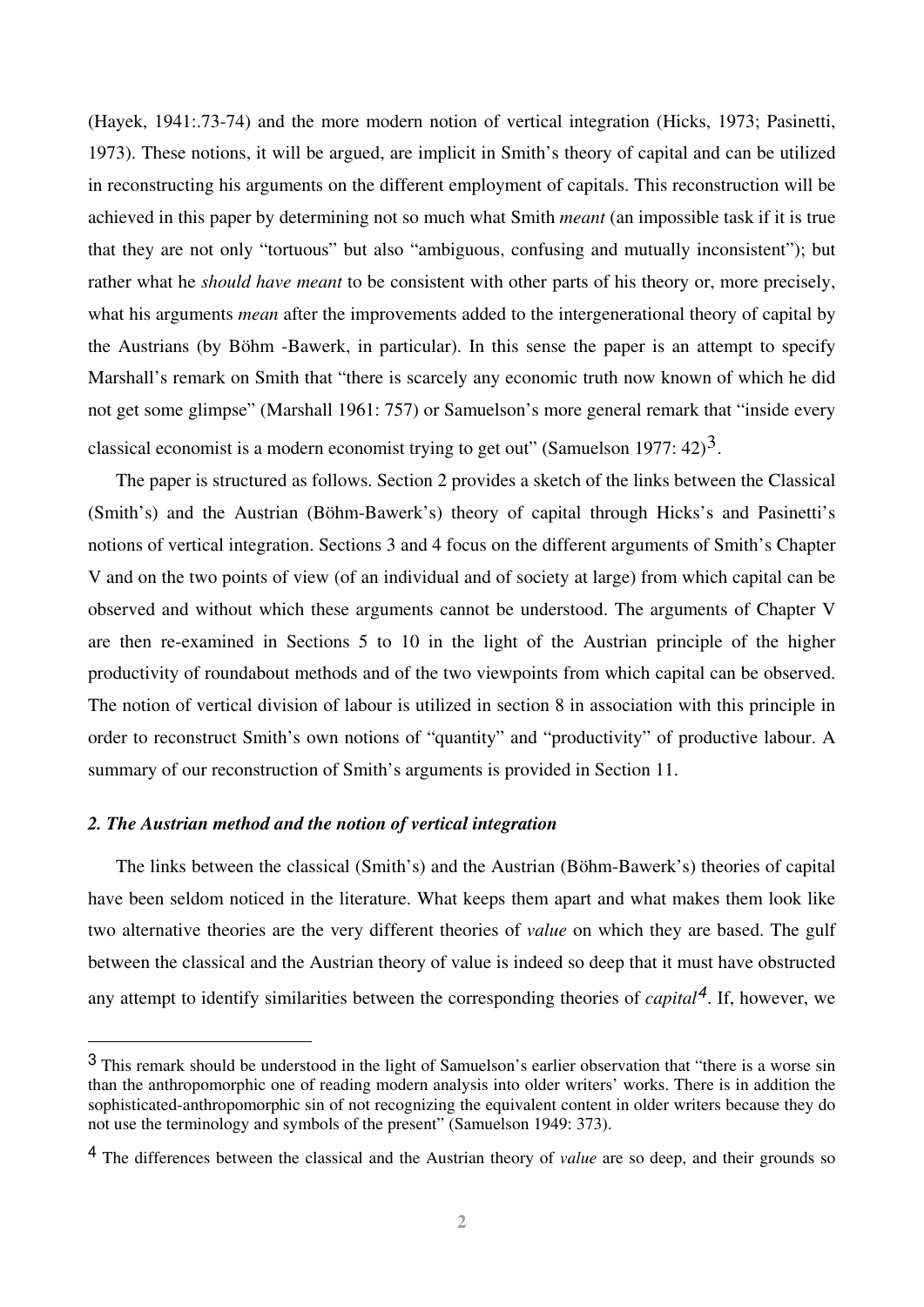(Hayek, 1941:.73-74) and the more modern notion of vertical integration (Hicks, 1973; Pasinetti, 1973). These notions, it will be argued, are implicit in Smith's theory of capital and can be utilized in reconstructing his arguments on the different employment of capitals. This reconstruction will be achieved in this paper by determining not so much what Smith *meant* (an impossible task if it is true that they are not only "tortuous" but also "ambiguous, confusing and mutually inconsistent"); but rather what he *should have meant* to be consistent with other parts of his theory or, more precisely, what his arguments *mean* after the improvements added to the intergenerational theory of capital by the Austrians (by Böhm -Bawerk, in particular). In this sense the paper is an attempt to specify Marshall's remark on Smith that "there is scarcely any economic truth now known of which he did not get some glimpse" (Marshall 1961: 757) or Samuelson's more general remark that "inside every classical economist is a modern economist trying to get out" (Samuelson 1977:  $42<sup>3</sup>$  $42<sup>3</sup>$  $42<sup>3</sup>$ .

The paper is structured as follows. Section 2 provides a sketch of the links between the Classical (Smith's) and the Austrian (Böhm-Bawerk's) theory of capital through Hicks's and Pasinetti's notions of vertical integration. Sections 3 and 4 focus on the different arguments of Smith's Chapter V and on the two points of view (of an individual and of society at large) from which capital can be observed and without which these arguments cannot be understood. The arguments of Chapter V are then re-examined in Sections 5 to 10 in the light of the Austrian principle of the higher productivity of roundabout methods and of the two viewpoints from which capital can be observed. The notion of vertical division of labour is utilized in section 8 in association with this principle in order to reconstruct Smith's own notions of "quantity" and "productivity" of productive labour. A summary of our reconstruction of Smith's arguments is provided in Section 11.

#### *2. The Austrian method and the notion of vertical integration*

 $\overline{a}$ 

The links between the classical (Smith's) and the Austrian (Böhm-Bawerk's) theories of capital have been seldom noticed in the literature. What keeps them apart and what makes them look like two alternative theories are the very different theories of *value* on which they are based. The gulf between the classical and the Austrian theory of value is indeed so deep that it must have obstructed any attempt to identify similarities between the corresponding theories of *capital*[4](#page-2-1). If, however, we

<span id="page-2-0"></span><sup>3</sup> This remark should be understood in the light of Samuelson's earlier observation that "there is a worse sin than the anthropomorphic one of reading modern analysis into older writers' works. There is in addition the sophisticated-anthropomorphic sin of not recognizing the equivalent content in older writers because they do not use the terminology and symbols of the present" (Samuelson 1949: 373).

<span id="page-2-1"></span><sup>4</sup> The differences between the classical and the Austrian theory of *value* are so deep, and their grounds so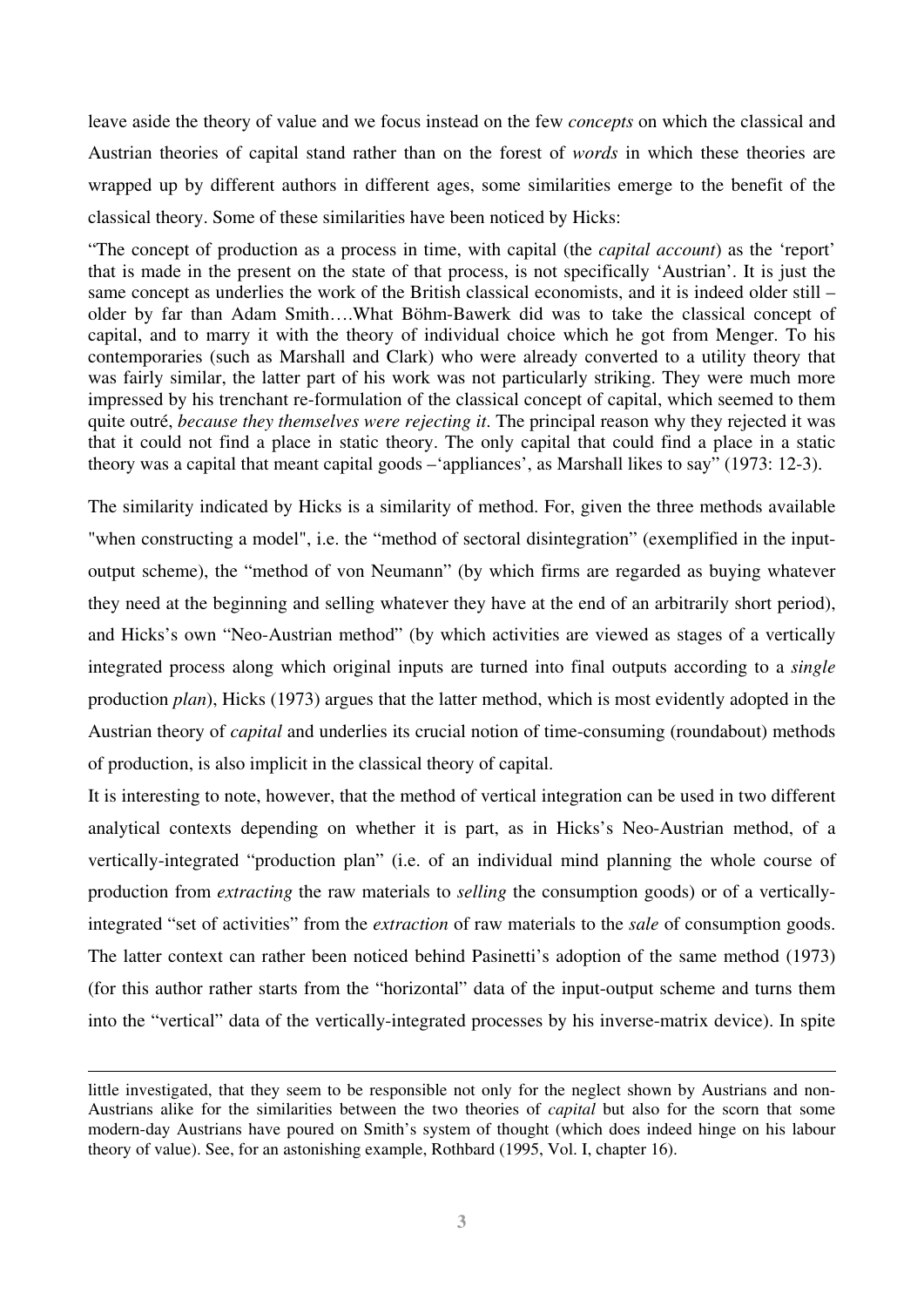leave aside the theory of value and we focus instead on the few *concepts* on which the classical and Austrian theories of capital stand rather than on the forest of *words* in which these theories are wrapped up by different authors in different ages, some similarities emerge to the benefit of the classical theory. Some of these similarities have been noticed by Hicks:

"The concept of production as a process in time, with capital (the *capital account*) as the 'report' that is made in the present on the state of that process, is not specifically 'Austrian'. It is just the same concept as underlies the work of the British classical economists, and it is indeed older still – older by far than Adam Smith….What Böhm-Bawerk did was to take the classical concept of capital, and to marry it with the theory of individual choice which he got from Menger. To his contemporaries (such as Marshall and Clark) who were already converted to a utility theory that was fairly similar, the latter part of his work was not particularly striking. They were much more impressed by his trenchant re-formulation of the classical concept of capital, which seemed to them quite outré, *because they themselves were rejecting it*. The principal reason why they rejected it was that it could not find a place in static theory. The only capital that could find a place in a static theory was a capital that meant capital goods –'appliances', as Marshall likes to say" (1973: 12-3).

The similarity indicated by Hicks is a similarity of method. For, given the three methods available "when constructing a model", i.e. the "method of sectoral disintegration" (exemplified in the inputoutput scheme), the "method of von Neumann" (by which firms are regarded as buying whatever they need at the beginning and selling whatever they have at the end of an arbitrarily short period), and Hicks's own "Neo-Austrian method" (by which activities are viewed as stages of a vertically integrated process along which original inputs are turned into final outputs according to a *single* production *plan*), Hicks (1973) argues that the latter method, which is most evidently adopted in the Austrian theory of *capital* and underlies its crucial notion of time-consuming (roundabout) methods of production, is also implicit in the classical theory of capital.

It is interesting to note, however, that the method of vertical integration can be used in two different analytical contexts depending on whether it is part, as in Hicks's Neo-Austrian method, of a vertically-integrated "production plan" (i.e. of an individual mind planning the whole course of production from *extracting* the raw materials to *selling* the consumption goods) or of a verticallyintegrated "set of activities" from the *extraction* of raw materials to the *sale* of consumption goods. The latter context can rather been noticed behind Pasinetti's adoption of the same method (1973) (for this author rather starts from the "horizontal" data of the input-output scheme and turns them into the "vertical" data of the vertically-integrated processes by his inverse-matrix device). In spite

little investigated, that they seem to be responsible not only for the neglect shown by Austrians and non-Austrians alike for the similarities between the two theories of *capital* but also for the scorn that some modern-day Austrians have poured on Smith's system of thought (which does indeed hinge on his labour theory of value). See, for an astonishing example, Rothbard (1995, Vol. I, chapter 16).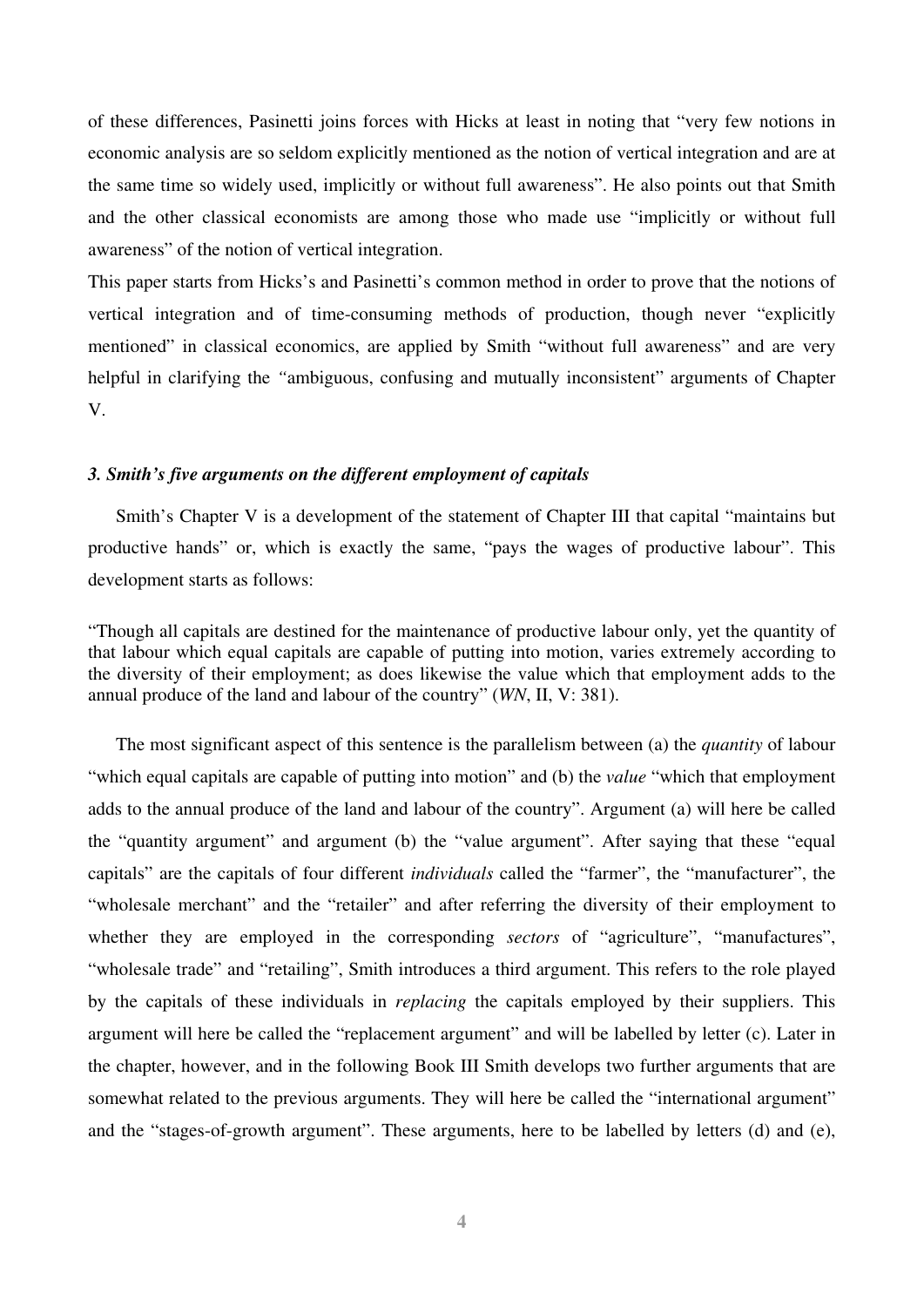of these differences, Pasinetti joins forces with Hicks at least in noting that "very few notions in economic analysis are so seldom explicitly mentioned as the notion of vertical integration and are at the same time so widely used, implicitly or without full awareness". He also points out that Smith and the other classical economists are among those who made use "implicitly or without full awareness" of the notion of vertical integration.

This paper starts from Hicks's and Pasinetti's common method in order to prove that the notions of vertical integration and of time-consuming methods of production, though never "explicitly mentioned" in classical economics, are applied by Smith "without full awareness" and are very helpful in clarifying the *"*ambiguous, confusing and mutually inconsistent" arguments of Chapter V.

#### *3. Smith's five arguments on the different employment of capitals*

Smith's Chapter V is a development of the statement of Chapter III that capital "maintains but productive hands" or, which is exactly the same, "pays the wages of productive labour". This development starts as follows:

"Though all capitals are destined for the maintenance of productive labour only, yet the quantity of that labour which equal capitals are capable of putting into motion, varies extremely according to the diversity of their employment; as does likewise the value which that employment adds to the annual produce of the land and labour of the country" (*WN*, II, V: 381).

The most significant aspect of this sentence is the parallelism between (a) the *quantity* of labour "which equal capitals are capable of putting into motion" and (b) the *value* "which that employment adds to the annual produce of the land and labour of the country". Argument (a) will here be called the "quantity argument" and argument (b) the "value argument". After saying that these "equal capitals" are the capitals of four different *individuals* called the "farmer", the "manufacturer", the "wholesale merchant" and the "retailer" and after referring the diversity of their employment to whether they are employed in the corresponding *sectors* of "agriculture", "manufactures", "wholesale trade" and "retailing", Smith introduces a third argument. This refers to the role played by the capitals of these individuals in *replacing* the capitals employed by their suppliers. This argument will here be called the "replacement argument" and will be labelled by letter (c). Later in the chapter, however, and in the following Book III Smith develops two further arguments that are somewhat related to the previous arguments. They will here be called the "international argument" and the "stages-of-growth argument". These arguments, here to be labelled by letters (d) and (e),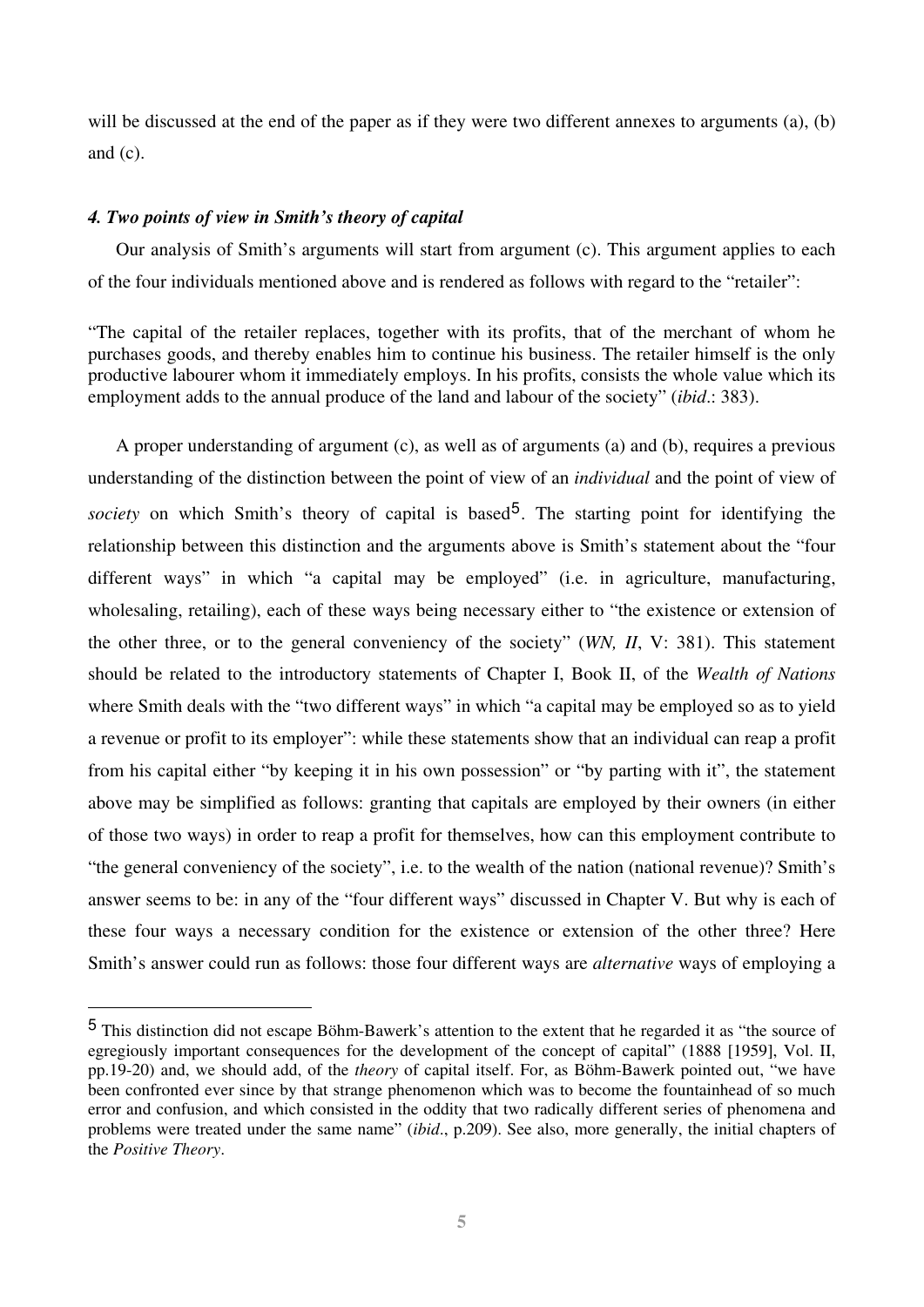will be discussed at the end of the paper as if they were two different annexes to arguments (a), (b) and (c).

### *4. Two points of view in Smith's theory of capital*

 $\overline{a}$ 

Our analysis of Smith's arguments will start from argument (c). This argument applies to each of the four individuals mentioned above and is rendered as follows with regard to the "retailer":

"The capital of the retailer replaces, together with its profits, that of the merchant of whom he purchases goods, and thereby enables him to continue his business. The retailer himself is the only productive labourer whom it immediately employs. In his profits, consists the whole value which its employment adds to the annual produce of the land and labour of the society" (*ibid*.: 383).

A proper understanding of argument (c), as well as of arguments (a) and (b), requires a previous understanding of the distinction between the point of view of an *individual* and the point of view of *society* on which Smith's theory of capital is based<sup>[5](#page-5-0)</sup>. The starting point for identifying the relationship between this distinction and the arguments above is Smith's statement about the "four different ways" in which "a capital may be employed" (i.e. in agriculture, manufacturing, wholesaling, retailing), each of these ways being necessary either to "the existence or extension of the other three, or to the general conveniency of the society" (*WN, II*, V: 381). This statement should be related to the introductory statements of Chapter I, Book II, of the *Wealth of Nations* where Smith deals with the "two different ways" in which "a capital may be employed so as to yield a revenue or profit to its employer": while these statements show that an individual can reap a profit from his capital either "by keeping it in his own possession" or "by parting with it", the statement above may be simplified as follows: granting that capitals are employed by their owners (in either of those two ways) in order to reap a profit for themselves, how can this employment contribute to "the general conveniency of the society", i.e. to the wealth of the nation (national revenue)? Smith's answer seems to be: in any of the "four different ways" discussed in Chapter V. But why is each of these four ways a necessary condition for the existence or extension of the other three? Here Smith's answer could run as follows: those four different ways are *alternative* ways of employing a

<span id="page-5-0"></span><sup>5</sup> This distinction did not escape Böhm-Bawerk's attention to the extent that he regarded it as "the source of egregiously important consequences for the development of the concept of capital" (1888 [1959], Vol. II, pp.19-20) and, we should add, of the *theory* of capital itself. For, as Böhm-Bawerk pointed out, "we have been confronted ever since by that strange phenomenon which was to become the fountainhead of so much error and confusion, and which consisted in the oddity that two radically different series of phenomena and problems were treated under the same name" (*ibid*., p.209). See also, more generally, the initial chapters of the *Positive Theory*.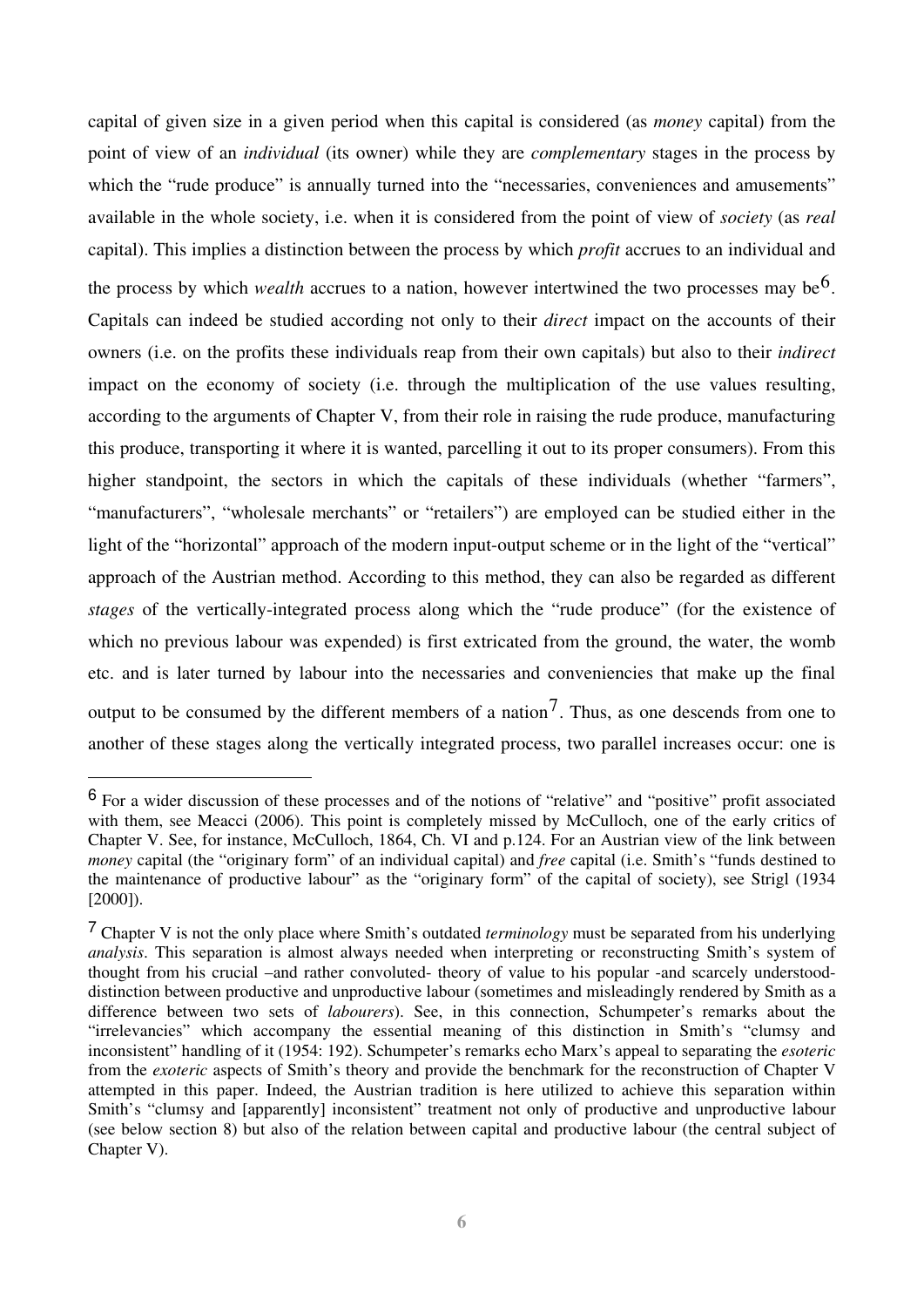capital of given size in a given period when this capital is considered (as *money* capital) from the point of view of an *individual* (its owner) while they are *complementary* stages in the process by which the "rude produce" is annually turned into the "necessaries, conveniences and amusements" available in the whole society, i.e. when it is considered from the point of view of *society* (as *real* capital). This implies a distinction between the process by which *profit* accrues to an individual and the process by which *wealth* accrues to a nation, however intertwined the two processes may be<sup>[6](#page-6-0)</sup>. Capitals can indeed be studied according not only to their *direct* impact on the accounts of their owners (i.e. on the profits these individuals reap from their own capitals) but also to their *indirect* impact on the economy of society (i.e. through the multiplication of the use values resulting, according to the arguments of Chapter V, from their role in raising the rude produce, manufacturing this produce, transporting it where it is wanted, parcelling it out to its proper consumers). From this higher standpoint, the sectors in which the capitals of these individuals (whether "farmers", "manufacturers", "wholesale merchants" or "retailers") are employed can be studied either in the light of the "horizontal" approach of the modern input-output scheme or in the light of the "vertical" approach of the Austrian method. According to this method, they can also be regarded as different *stages* of the vertically-integrated process along which the "rude produce" (for the existence of which no previous labour was expended) is first extricated from the ground, the water, the womb etc. and is later turned by labour into the necessaries and conveniencies that make up the final output to be consumed by the different members of a nation<sup>[7](#page-6-1)</sup>. Thus, as one descends from one to another of these stages along the vertically integrated process, two parallel increases occur: one is

<span id="page-6-0"></span><sup>6</sup> For a wider discussion of these processes and of the notions of "relative" and "positive" profit associated with them, see Meacci (2006). This point is completely missed by McCulloch, one of the early critics of Chapter V. See, for instance, McCulloch, 1864, Ch. VI and p.124. For an Austrian view of the link between *money* capital (the "originary form" of an individual capital) and *free* capital (i.e. Smith's "funds destined to the maintenance of productive labour" as the "originary form" of the capital of society), see Strigl (1934 [2000]).

<span id="page-6-1"></span><sup>7</sup> Chapter V is not the only place where Smith's outdated *terminology* must be separated from his underlying *analysis*. This separation is almost always needed when interpreting or reconstructing Smith's system of thought from his crucial –and rather convoluted- theory of value to his popular -and scarcely understooddistinction between productive and unproductive labour (sometimes and misleadingly rendered by Smith as a difference between two sets of *labourers*). See, in this connection, Schumpeter's remarks about the "irrelevancies" which accompany the essential meaning of this distinction in Smith's "clumsy and inconsistent" handling of it (1954: 192). Schumpeter's remarks echo Marx's appeal to separating the *esoteric* from the *exoteric* aspects of Smith's theory and provide the benchmark for the reconstruction of Chapter V attempted in this paper. Indeed, the Austrian tradition is here utilized to achieve this separation within Smith's "clumsy and [apparently] inconsistent" treatment not only of productive and unproductive labour (see below section 8) but also of the relation between capital and productive labour (the central subject of Chapter V).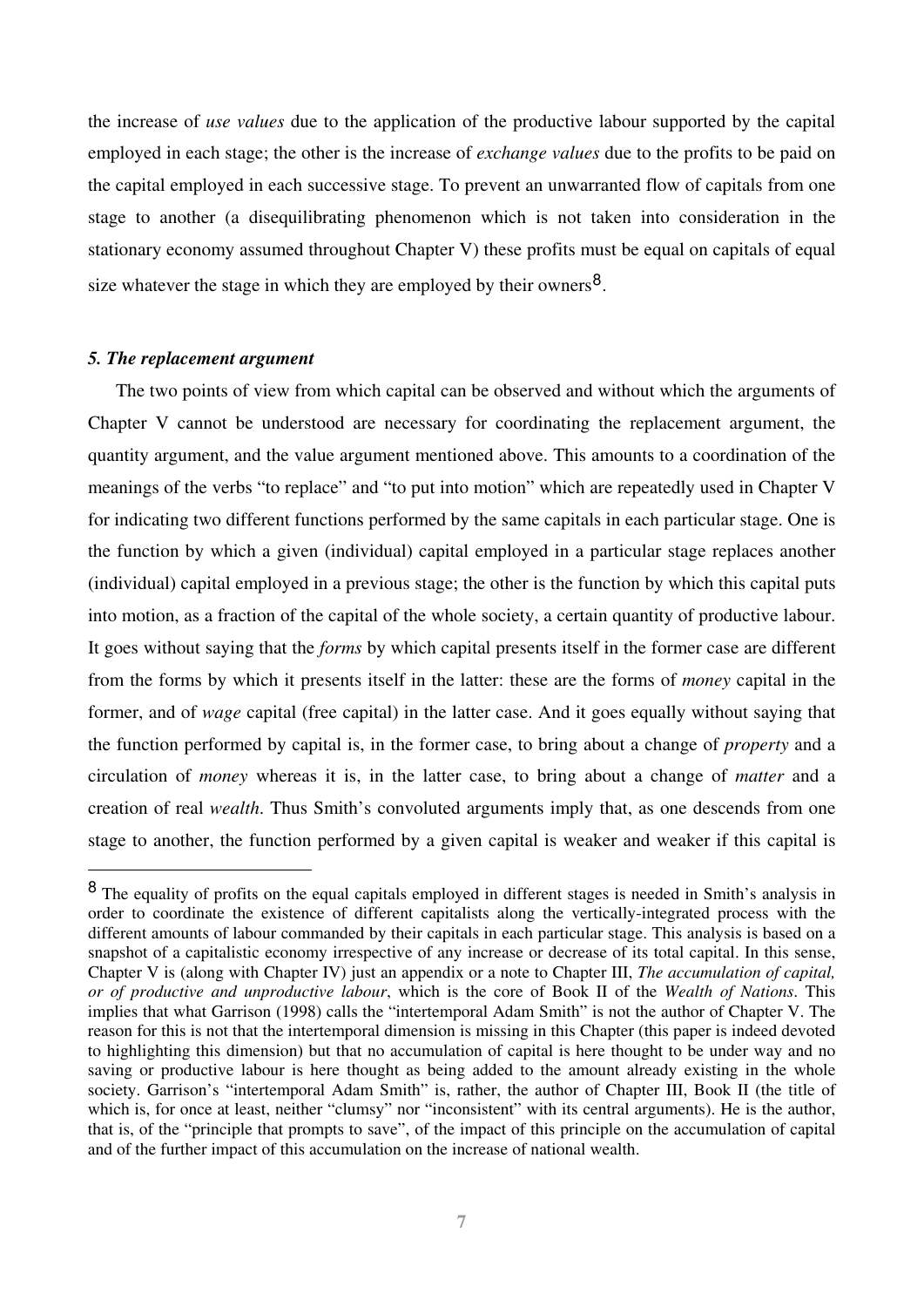the increase of *use values* due to the application of the productive labour supported by the capital employed in each stage; the other is the increase of *exchange values* due to the profits to be paid on the capital employed in each successive stage. To prevent an unwarranted flow of capitals from one stage to another (a disequilibrating phenomenon which is not taken into consideration in the stationary economy assumed throughout Chapter V) these profits must be equal on capitals of equal size whatever the stage in which they are employed by their owners<sup>[8](#page-7-0)</sup>.

#### *5. The replacement argument*

 $\overline{a}$ 

The two points of view from which capital can be observed and without which the arguments of Chapter V cannot be understood are necessary for coordinating the replacement argument, the quantity argument, and the value argument mentioned above. This amounts to a coordination of the meanings of the verbs "to replace" and "to put into motion" which are repeatedly used in Chapter V for indicating two different functions performed by the same capitals in each particular stage. One is the function by which a given (individual) capital employed in a particular stage replaces another (individual) capital employed in a previous stage; the other is the function by which this capital puts into motion, as a fraction of the capital of the whole society, a certain quantity of productive labour. It goes without saying that the *forms* by which capital presents itself in the former case are different from the forms by which it presents itself in the latter: these are the forms of *money* capital in the former, and of *wage* capital (free capital) in the latter case. And it goes equally without saying that the function performed by capital is, in the former case, to bring about a change of *property* and a circulation of *money* whereas it is, in the latter case, to bring about a change of *matter* and a creation of real *wealth*. Thus Smith's convoluted arguments imply that, as one descends from one stage to another, the function performed by a given capital is weaker and weaker if this capital is

<span id="page-7-0"></span><sup>8</sup> The equality of profits on the equal capitals employed in different stages is needed in Smith's analysis in order to coordinate the existence of different capitalists along the vertically-integrated process with the different amounts of labour commanded by their capitals in each particular stage. This analysis is based on a snapshot of a capitalistic economy irrespective of any increase or decrease of its total capital. In this sense, Chapter V is (along with Chapter IV) just an appendix or a note to Chapter III, *The accumulation of capital, or of productive and unproductive labour*, which is the core of Book II of the *Wealth of Nations*. This implies that what Garrison (1998) calls the "intertemporal Adam Smith" is not the author of Chapter V. The reason for this is not that the intertemporal dimension is missing in this Chapter (this paper is indeed devoted to highlighting this dimension) but that no accumulation of capital is here thought to be under way and no saving or productive labour is here thought as being added to the amount already existing in the whole society. Garrison's "intertemporal Adam Smith" is, rather, the author of Chapter III, Book II (the title of which is, for once at least, neither "clumsy" nor "inconsistent" with its central arguments). He is the author, that is, of the "principle that prompts to save", of the impact of this principle on the accumulation of capital and of the further impact of this accumulation on the increase of national wealth.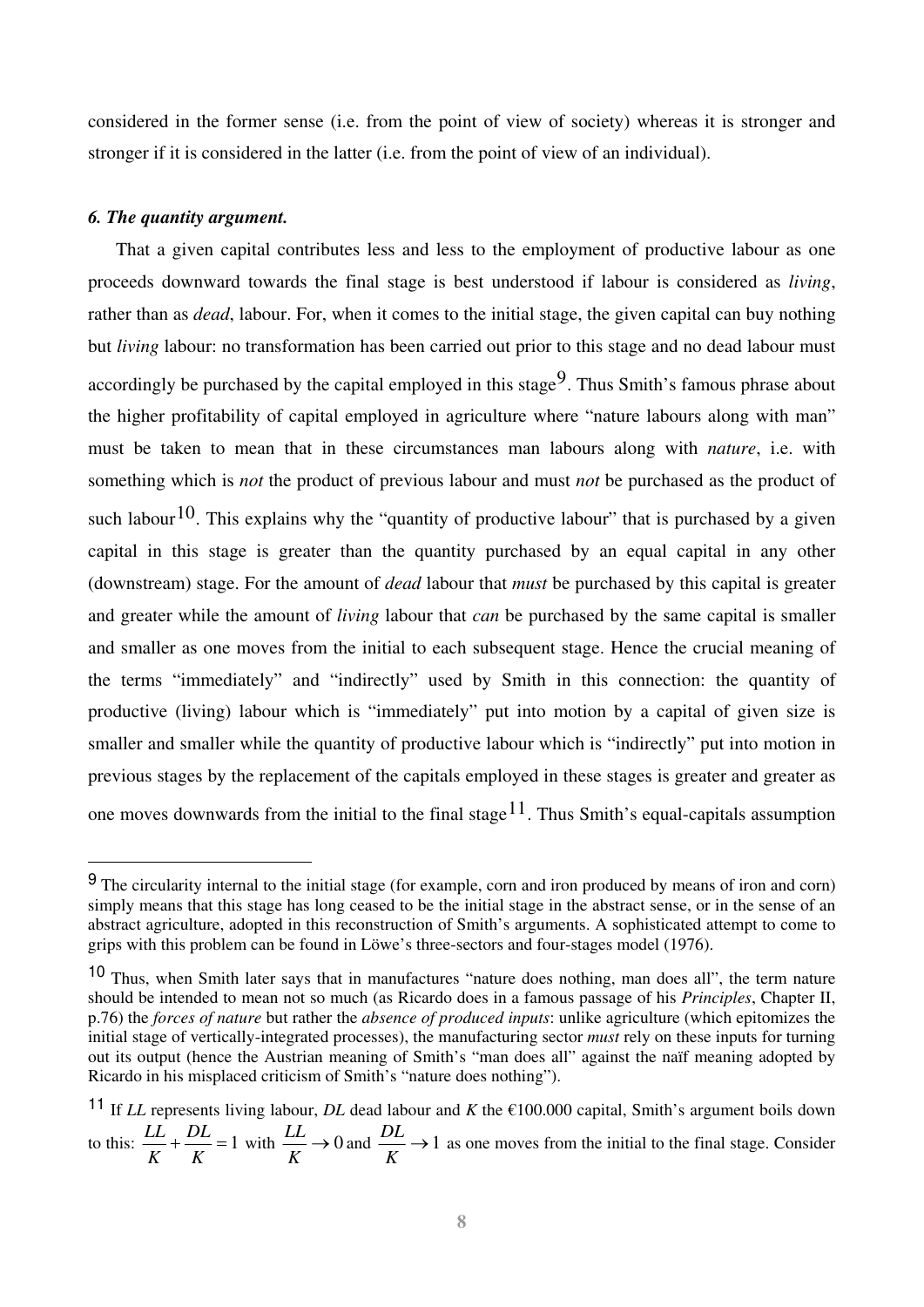considered in the former sense (i.e. from the point of view of society) whereas it is stronger and stronger if it is considered in the latter (i.e. from the point of view of an individual).

#### *6. The quantity argument.*

 $\overline{a}$ 

That a given capital contributes less and less to the employment of productive labour as one proceeds downward towards the final stage is best understood if labour is considered as *living*, rather than as *dead*, labour. For, when it comes to the initial stage, the given capital can buy nothing but *living* labour: no transformation has been carried out prior to this stage and no dead labour must accordingly be purchased by the capital employed in this stage<sup>[9](#page-8-0)</sup>. Thus Smith's famous phrase about the higher profitability of capital employed in agriculture where "nature labours along with man" must be taken to mean that in these circumstances man labours along with *nature*, i.e. with something which is *not* the product of previous labour and must *not* be purchased as the product of such labour<sup>[10](#page-8-1)</sup>. This explains why the "quantity of productive labour" that is purchased by a given capital in this stage is greater than the quantity purchased by an equal capital in any other (downstream) stage. For the amount of *dead* labour that *must* be purchased by this capital is greater and greater while the amount of *living* labour that *can* be purchased by the same capital is smaller and smaller as one moves from the initial to each subsequent stage. Hence the crucial meaning of the terms "immediately" and "indirectly" used by Smith in this connection: the quantity of productive (living) labour which is "immediately" put into motion by a capital of given size is smaller and smaller while the quantity of productive labour which is "indirectly" put into motion in previous stages by the replacement of the capitals employed in these stages is greater and greater as one moves downwards from the initial to the final stage  $11$ . Thus Smith's equal-capitals assumption

<span id="page-8-0"></span><sup>&</sup>lt;sup>9</sup> The circularity internal to the initial stage (for example, corn and iron produced by means of iron and corn) simply means that this stage has long ceased to be the initial stage in the abstract sense, or in the sense of an abstract agriculture, adopted in this reconstruction of Smith's arguments. A sophisticated attempt to come to grips with this problem can be found in Löwe's three-sectors and four-stages model (1976).

<span id="page-8-1"></span><sup>10</sup> Thus, when Smith later says that in manufactures "nature does nothing, man does all", the term nature should be intended to mean not so much (as Ricardo does in a famous passage of his *Principles*, Chapter II, p.76) the *forces of nature* but rather the *absence of produced inputs*: unlike agriculture (which epitomizes the initial stage of vertically-integrated processes), the manufacturing sector *must* rely on these inputs for turning out its output (hence the Austrian meaning of Smith's "man does all" against the naïf meaning adopted by Ricardo in his misplaced criticism of Smith's "nature does nothing").

<span id="page-8-2"></span><sup>11</sup> If *LL* represents living labour, *DL* dead labour and *K* the €100.000 capital, Smith's argument boils down

to this:  $\frac{L}{L} + \frac{D}{L} = 1$ *K DL K*  $\frac{LL}{L} + \frac{DL}{L} = 1$  with  $\frac{LL}{L} \rightarrow 0$ *K*  $\frac{LL}{L} \rightarrow 0$  and  $\frac{DL}{L} \rightarrow 1$ *K*  $\frac{DL}{\sqrt{}}$   $\rightarrow$  1 as one moves from the initial to the final stage. Consider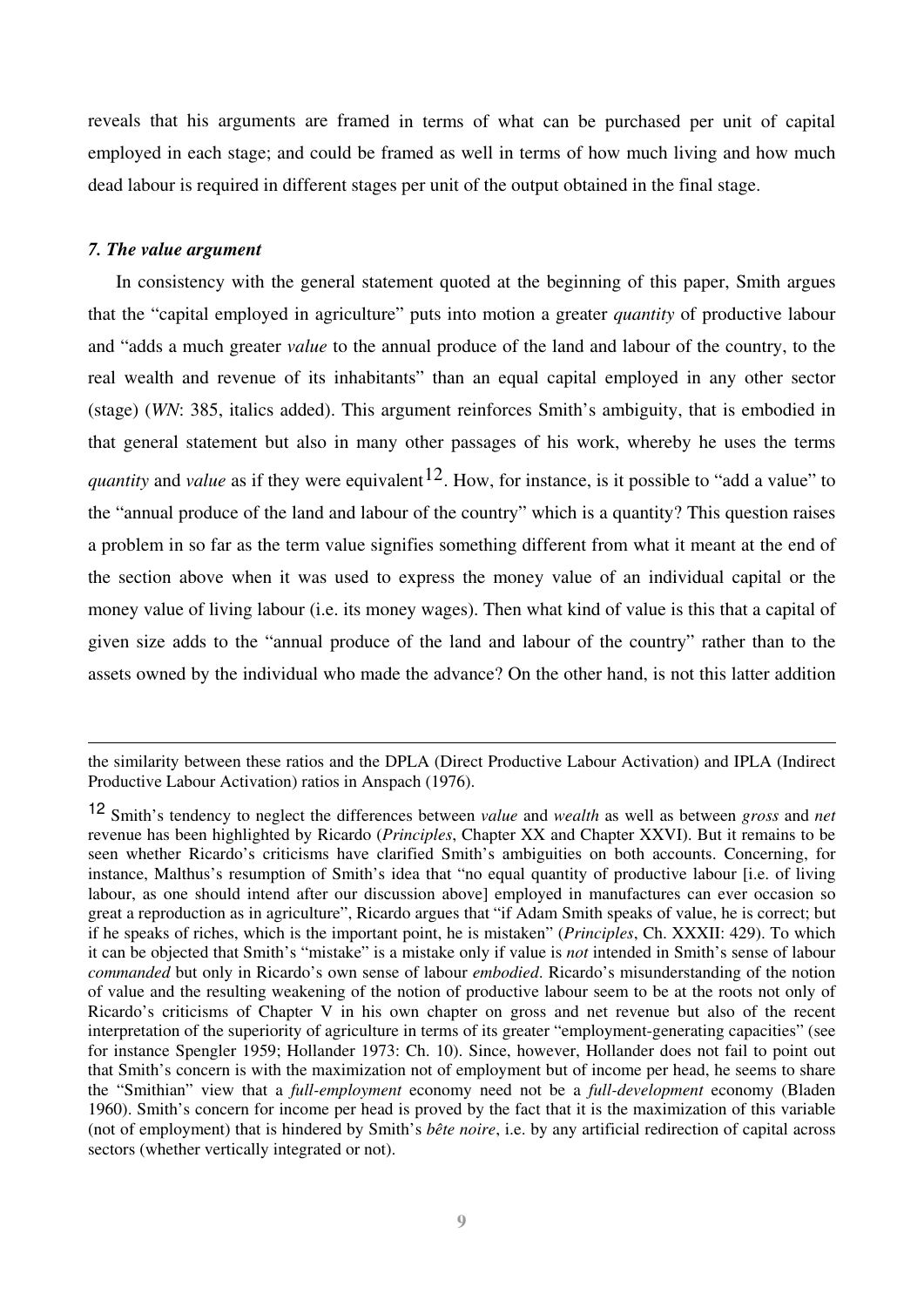reveals that his arguments are framed in terms of what can be purchased per unit of capital employed in each stage; and could be framed as well in terms of how much living and how much dead labour is required in different stages per unit of the output obtained in the final stage.

#### *7. The value argument*

 $\overline{a}$ 

In consistency with the general statement quoted at the beginning of this paper, Smith argues that the "capital employed in agriculture" puts into motion a greater *quantity* of productive labour and "adds a much greater *value* to the annual produce of the land and labour of the country, to the real wealth and revenue of its inhabitants" than an equal capital employed in any other sector (stage) (*WN*: 385, italics added). This argument reinforces Smith's ambiguity, that is embodied in that general statement but also in many other passages of his work, whereby he uses the terms *quantity* and *value* as if they were equivalent  $12$ . How, for instance, is it possible to "add a value" to the "annual produce of the land and labour of the country" which is a quantity? This question raises a problem in so far as the term value signifies something different from what it meant at the end of the section above when it was used to express the money value of an individual capital or the money value of living labour (i.e. its money wages). Then what kind of value is this that a capital of given size adds to the "annual produce of the land and labour of the country" rather than to the assets owned by the individual who made the advance? On the other hand, is not this latter addition

the similarity between these ratios and the DPLA (Direct Productive Labour Activation) and IPLA (Indirect Productive Labour Activation) ratios in Anspach (1976).

<span id="page-9-0"></span><sup>12</sup> Smith's tendency to neglect the differences between *value* and *wealth* as well as between *gross* and *net* revenue has been highlighted by Ricardo (*Principles*, Chapter XX and Chapter XXVI). But it remains to be seen whether Ricardo's criticisms have clarified Smith's ambiguities on both accounts. Concerning, for instance, Malthus's resumption of Smith's idea that "no equal quantity of productive labour [i.e. of living labour, as one should intend after our discussion above] employed in manufactures can ever occasion so great a reproduction as in agriculture", Ricardo argues that "if Adam Smith speaks of value, he is correct; but if he speaks of riches, which is the important point, he is mistaken" (*Principles*, Ch. XXXII: 429). To which it can be objected that Smith's "mistake" is a mistake only if value is *not* intended in Smith's sense of labour *commanded* but only in Ricardo's own sense of labour *embodied*. Ricardo's misunderstanding of the notion of value and the resulting weakening of the notion of productive labour seem to be at the roots not only of Ricardo's criticisms of Chapter V in his own chapter on gross and net revenue but also of the recent interpretation of the superiority of agriculture in terms of its greater "employment-generating capacities" (see for instance Spengler 1959; Hollander 1973: Ch. 10). Since, however, Hollander does not fail to point out that Smith's concern is with the maximization not of employment but of income per head, he seems to share the "Smithian" view that a *full-employment* economy need not be a *full-development* economy (Bladen 1960). Smith's concern for income per head is proved by the fact that it is the maximization of this variable (not of employment) that is hindered by Smith's *bête noire*, i.e. by any artificial redirection of capital across sectors (whether vertically integrated or not).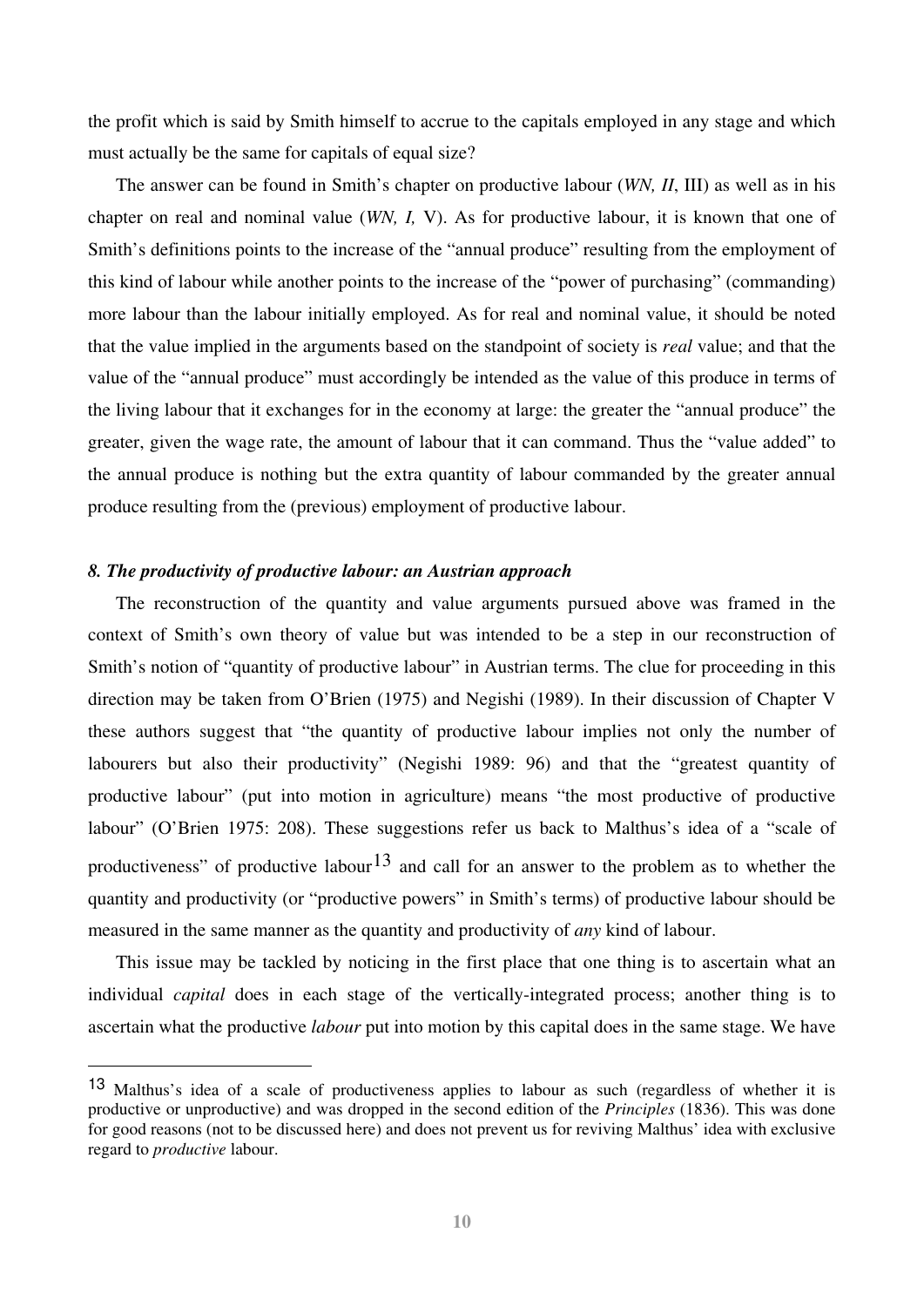the profit which is said by Smith himself to accrue to the capitals employed in any stage and which must actually be the same for capitals of equal size?

The answer can be found in Smith's chapter on productive labour (*WN, II*, III) as well as in his chapter on real and nominal value (*WN, I,* V). As for productive labour, it is known that one of Smith's definitions points to the increase of the "annual produce" resulting from the employment of this kind of labour while another points to the increase of the "power of purchasing" (commanding) more labour than the labour initially employed. As for real and nominal value, it should be noted that the value implied in the arguments based on the standpoint of society is *real* value; and that the value of the "annual produce" must accordingly be intended as the value of this produce in terms of the living labour that it exchanges for in the economy at large: the greater the "annual produce" the greater, given the wage rate, the amount of labour that it can command. Thus the "value added" to the annual produce is nothing but the extra quantity of labour commanded by the greater annual produce resulting from the (previous) employment of productive labour.

#### *8. The productivity of productive labour: an Austrian approach*

 $\overline{a}$ 

The reconstruction of the quantity and value arguments pursued above was framed in the context of Smith's own theory of value but was intended to be a step in our reconstruction of Smith's notion of "quantity of productive labour" in Austrian terms. The clue for proceeding in this direction may be taken from O'Brien (1975) and Negishi (1989). In their discussion of Chapter V these authors suggest that "the quantity of productive labour implies not only the number of labourers but also their productivity" (Negishi 1989: 96) and that the "greatest quantity of productive labour" (put into motion in agriculture) means "the most productive of productive labour" (O'Brien 1975: 208). These suggestions refer us back to Malthus's idea of a "scale of productiveness" of productive labour<sup>[13](#page-10-0)</sup> and call for an answer to the problem as to whether the quantity and productivity (or "productive powers" in Smith's terms) of productive labour should be measured in the same manner as the quantity and productivity of *any* kind of labour.

This issue may be tackled by noticing in the first place that one thing is to ascertain what an individual *capital* does in each stage of the vertically-integrated process; another thing is to ascertain what the productive *labour* put into motion by this capital does in the same stage. We have

<span id="page-10-0"></span><sup>13</sup> Malthus's idea of a scale of productiveness applies to labour as such (regardless of whether it is productive or unproductive) and was dropped in the second edition of the *Principles* (1836). This was done for good reasons (not to be discussed here) and does not prevent us for reviving Malthus' idea with exclusive regard to *productive* labour.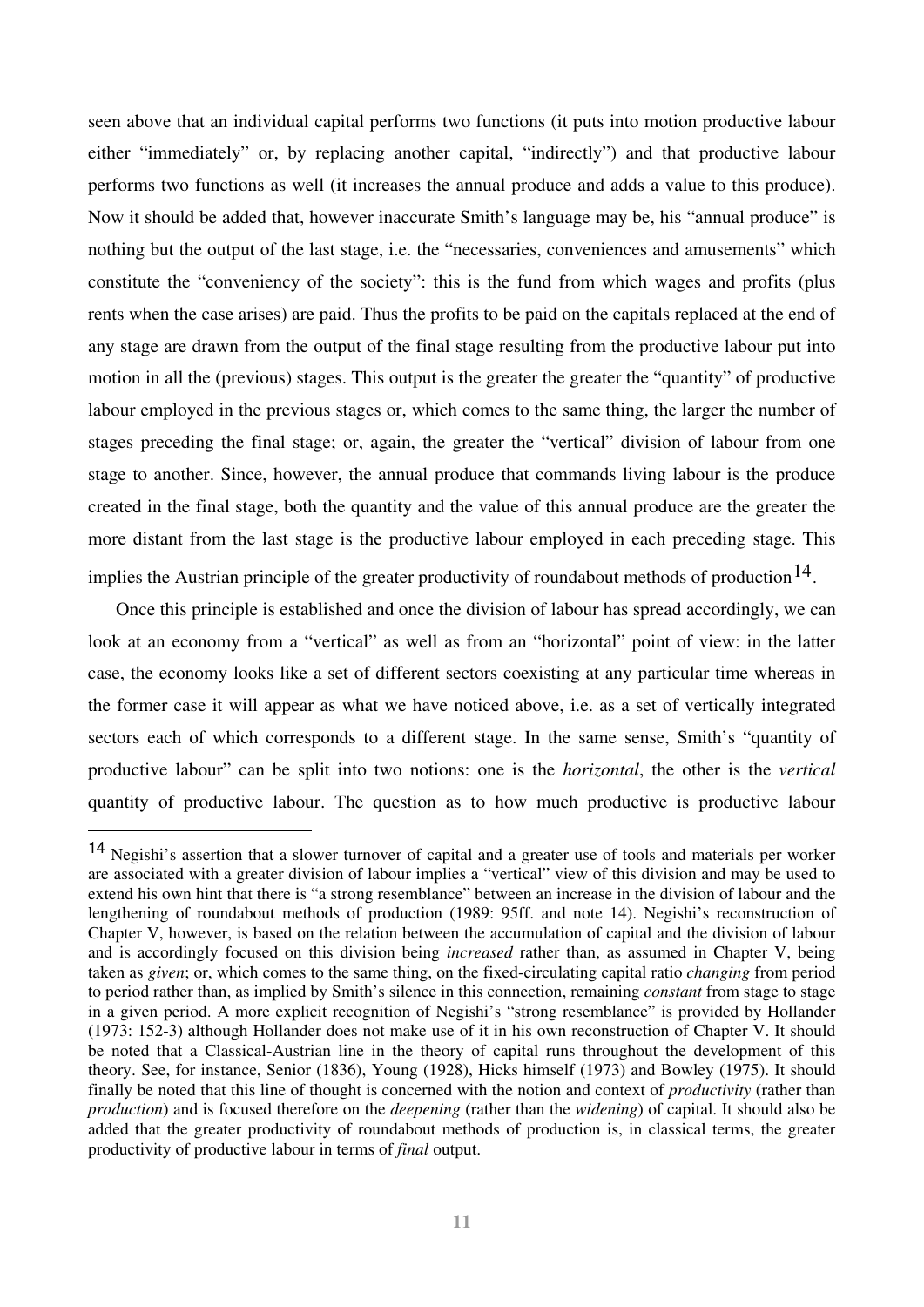seen above that an individual capital performs two functions (it puts into motion productive labour either "immediately" or, by replacing another capital, "indirectly") and that productive labour performs two functions as well (it increases the annual produce and adds a value to this produce). Now it should be added that, however inaccurate Smith's language may be, his "annual produce" is nothing but the output of the last stage, i.e. the "necessaries, conveniences and amusements" which constitute the "conveniency of the society": this is the fund from which wages and profits (plus rents when the case arises) are paid. Thus the profits to be paid on the capitals replaced at the end of any stage are drawn from the output of the final stage resulting from the productive labour put into motion in all the (previous) stages. This output is the greater the greater the "quantity" of productive labour employed in the previous stages or, which comes to the same thing, the larger the number of stages preceding the final stage; or, again, the greater the "vertical" division of labour from one stage to another. Since, however, the annual produce that commands living labour is the produce created in the final stage, both the quantity and the value of this annual produce are the greater the more distant from the last stage is the productive labour employed in each preceding stage. This implies the Austrian principle of the greater productivity of roundabout methods of production<sup>[14](#page-11-0)</sup>.

Once this principle is established and once the division of labour has spread accordingly, we can look at an economy from a "vertical" as well as from an "horizontal" point of view: in the latter case, the economy looks like a set of different sectors coexisting at any particular time whereas in the former case it will appear as what we have noticed above, i.e. as a set of vertically integrated sectors each of which corresponds to a different stage. In the same sense, Smith's "quantity of productive labour" can be split into two notions: one is the *horizontal*, the other is the *vertical* quantity of productive labour. The question as to how much productive is productive labour

<span id="page-11-0"></span><sup>14</sup> Negishi's assertion that a slower turnover of capital and a greater use of tools and materials per worker are associated with a greater division of labour implies a "vertical" view of this division and may be used to extend his own hint that there is "a strong resemblance" between an increase in the division of labour and the lengthening of roundabout methods of production (1989: 95ff. and note 14). Negishi's reconstruction of Chapter V, however, is based on the relation between the accumulation of capital and the division of labour and is accordingly focused on this division being *increased* rather than, as assumed in Chapter V, being taken as *given*; or, which comes to the same thing, on the fixed-circulating capital ratio *changing* from period to period rather than, as implied by Smith's silence in this connection, remaining *constant* from stage to stage in a given period. A more explicit recognition of Negishi's "strong resemblance" is provided by Hollander (1973: 152-3) although Hollander does not make use of it in his own reconstruction of Chapter V. It should be noted that a Classical-Austrian line in the theory of capital runs throughout the development of this theory. See, for instance, Senior (1836), Young (1928), Hicks himself (1973) and Bowley (1975). It should finally be noted that this line of thought is concerned with the notion and context of *productivity* (rather than *production*) and is focused therefore on the *deepening* (rather than the *widening*) of capital. It should also be added that the greater productivity of roundabout methods of production is, in classical terms, the greater productivity of productive labour in terms of *final* output.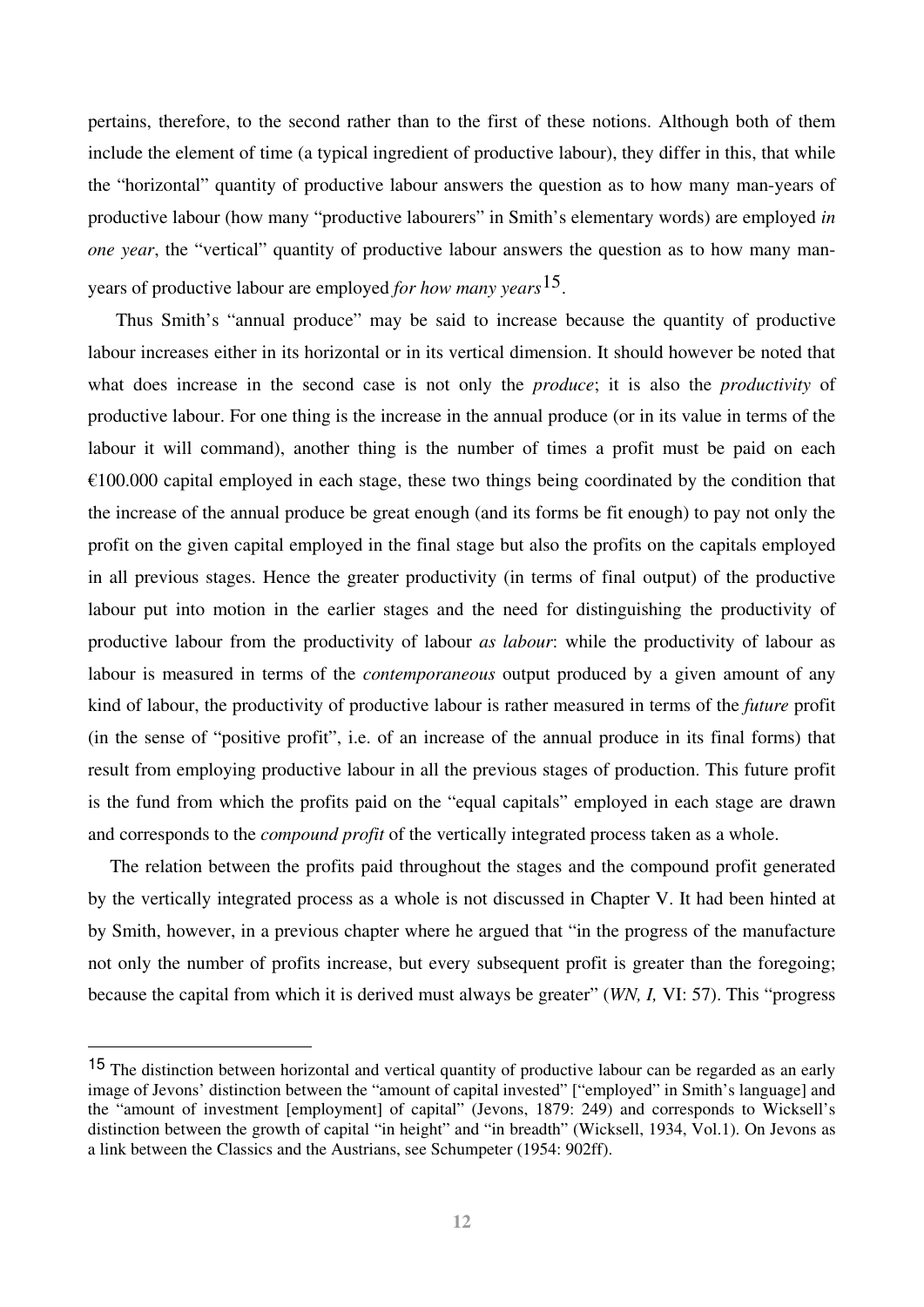pertains, therefore, to the second rather than to the first of these notions. Although both of them include the element of time (a typical ingredient of productive labour), they differ in this, that while the "horizontal" quantity of productive labour answers the question as to how many man-years of productive labour (how many "productive labourers" in Smith's elementary words) are employed *in one year*, the "vertical" quantity of productive labour answers the question as to how many manyears of productive labour are employed *for how many years*[15](#page-12-0).

Thus Smith's "annual produce" may be said to increase because the quantity of productive labour increases either in its horizontal or in its vertical dimension. It should however be noted that what does increase in the second case is not only the *produce*; it is also the *productivity* of productive labour. For one thing is the increase in the annual produce (or in its value in terms of the labour it will command), another thing is the number of times a profit must be paid on each  $€100.000$  capital employed in each stage, these two things being coordinated by the condition that the increase of the annual produce be great enough (and its forms be fit enough) to pay not only the profit on the given capital employed in the final stage but also the profits on the capitals employed in all previous stages. Hence the greater productivity (in terms of final output) of the productive labour put into motion in the earlier stages and the need for distinguishing the productivity of productive labour from the productivity of labour *as labour*: while the productivity of labour as labour is measured in terms of the *contemporaneous* output produced by a given amount of any kind of labour, the productivity of productive labour is rather measured in terms of the *future* profit (in the sense of "positive profit", i.e. of an increase of the annual produce in its final forms) that result from employing productive labour in all the previous stages of production. This future profit is the fund from which the profits paid on the "equal capitals" employed in each stage are drawn and corresponds to the *compound profit* of the vertically integrated process taken as a whole.

The relation between the profits paid throughout the stages and the compound profit generated by the vertically integrated process as a whole is not discussed in Chapter V. It had been hinted at by Smith, however, in a previous chapter where he argued that "in the progress of the manufacture not only the number of profits increase, but every subsequent profit is greater than the foregoing; because the capital from which it is derived must always be greater" (*WN, I,* VI: 57). This "progress

<span id="page-12-0"></span><sup>&</sup>lt;sup>15</sup> The distinction between horizontal and vertical quantity of productive labour can be regarded as an early image of Jevons' distinction between the "amount of capital invested" ["employed" in Smith's language] and the "amount of investment [employment] of capital" (Jevons, 1879: 249) and corresponds to Wicksell's distinction between the growth of capital "in height" and "in breadth" (Wicksell, 1934, Vol.1). On Jevons as a link between the Classics and the Austrians, see Schumpeter (1954: 902ff).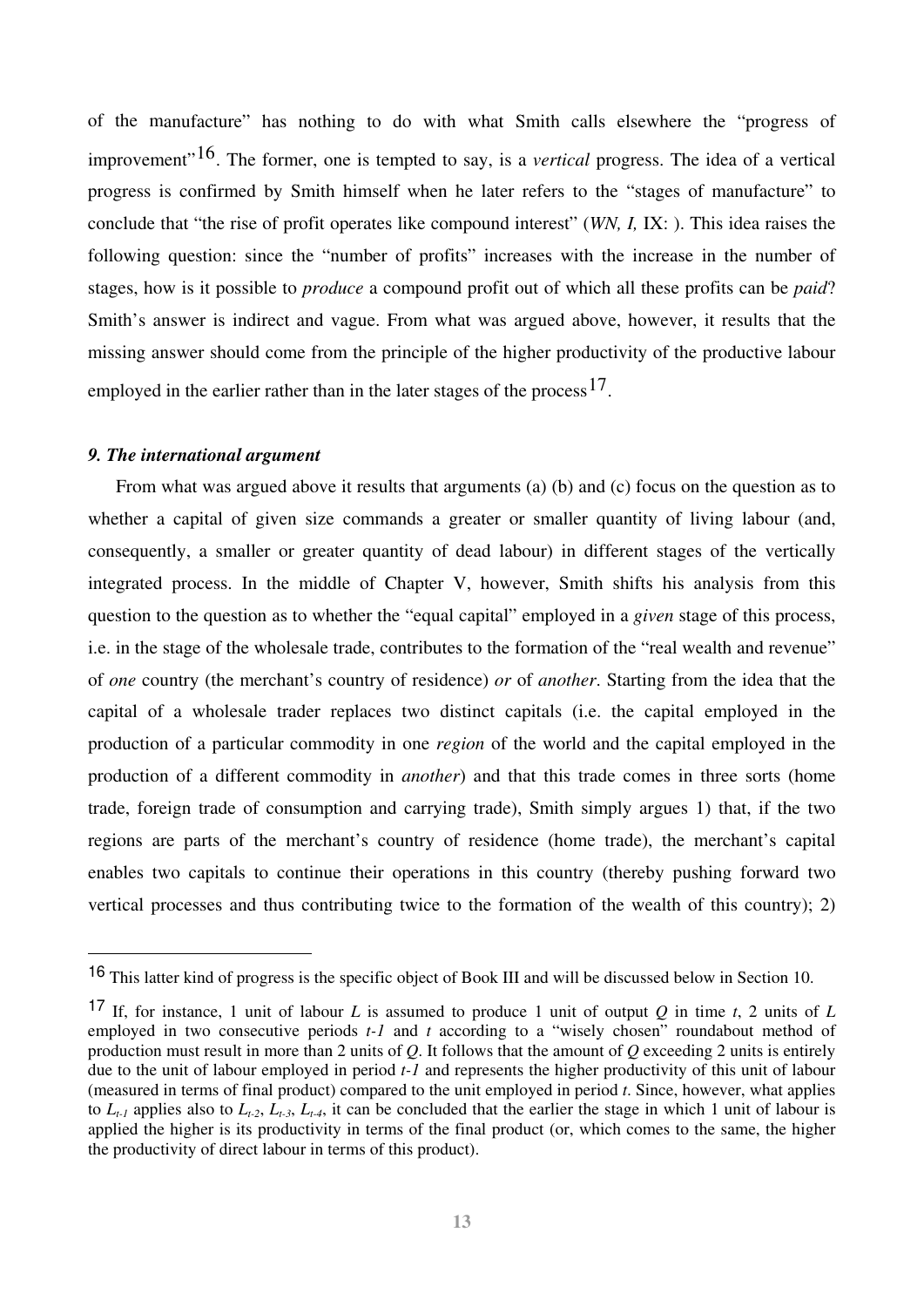of the manufacture" has nothing to do with what Smith calls elsewhere the "progress of improvement"[16](#page-13-0). The former, one is tempted to say, is a *vertical* progress. The idea of a vertical progress is confirmed by Smith himself when he later refers to the "stages of manufacture" to conclude that "the rise of profit operates like compound interest" (*WN, I,* IX: ). This idea raises the following question: since the "number of profits" increases with the increase in the number of stages, how is it possible to *produce* a compound profit out of which all these profits can be *paid*? Smith's answer is indirect and vague. From what was argued above, however, it results that the missing answer should come from the principle of the higher productivity of the productive labour employed in the earlier rather than in the later stages of the process<sup>[17](#page-13-1)</sup>.

#### *9. The international argument*

 $\overline{a}$ 

From what was argued above it results that arguments (a) (b) and (c) focus on the question as to whether a capital of given size commands a greater or smaller quantity of living labour (and, consequently, a smaller or greater quantity of dead labour) in different stages of the vertically integrated process. In the middle of Chapter V, however, Smith shifts his analysis from this question to the question as to whether the "equal capital" employed in a *given* stage of this process, i.e. in the stage of the wholesale trade, contributes to the formation of the "real wealth and revenue" of *one* country (the merchant's country of residence) *or* of *another*. Starting from the idea that the capital of a wholesale trader replaces two distinct capitals (i.e. the capital employed in the production of a particular commodity in one *region* of the world and the capital employed in the production of a different commodity in *another*) and that this trade comes in three sorts (home trade, foreign trade of consumption and carrying trade), Smith simply argues 1) that, if the two regions are parts of the merchant's country of residence (home trade), the merchant's capital enables two capitals to continue their operations in this country (thereby pushing forward two vertical processes and thus contributing twice to the formation of the wealth of this country); 2)

<span id="page-13-0"></span><sup>16</sup> This latter kind of progress is the specific object of Book III and will be discussed below in Section 10.

<span id="page-13-1"></span><sup>17</sup> If, for instance, 1 unit of labour *L* is assumed to produce 1 unit of output *Q* in time *t*, 2 units of *<sup>L</sup>* employed in two consecutive periods *t-1* and *t* according to a "wisely chosen" roundabout method of production must result in more than 2 units of *Q*. It follows that the amount of *Q* exceeding 2 units is entirely due to the unit of labour employed in period *t-1* and represents the higher productivity of this unit of labour (measured in terms of final product) compared to the unit employed in period *t*. Since, however, what applies to  $L_{t-1}$  applies also to  $L_{t-2}$ ,  $L_{t-3}$ ,  $L_{t-4}$ , it can be concluded that the earlier the stage in which 1 unit of labour is applied the higher is its productivity in terms of the final product (or, which comes to the same, the higher the productivity of direct labour in terms of this product).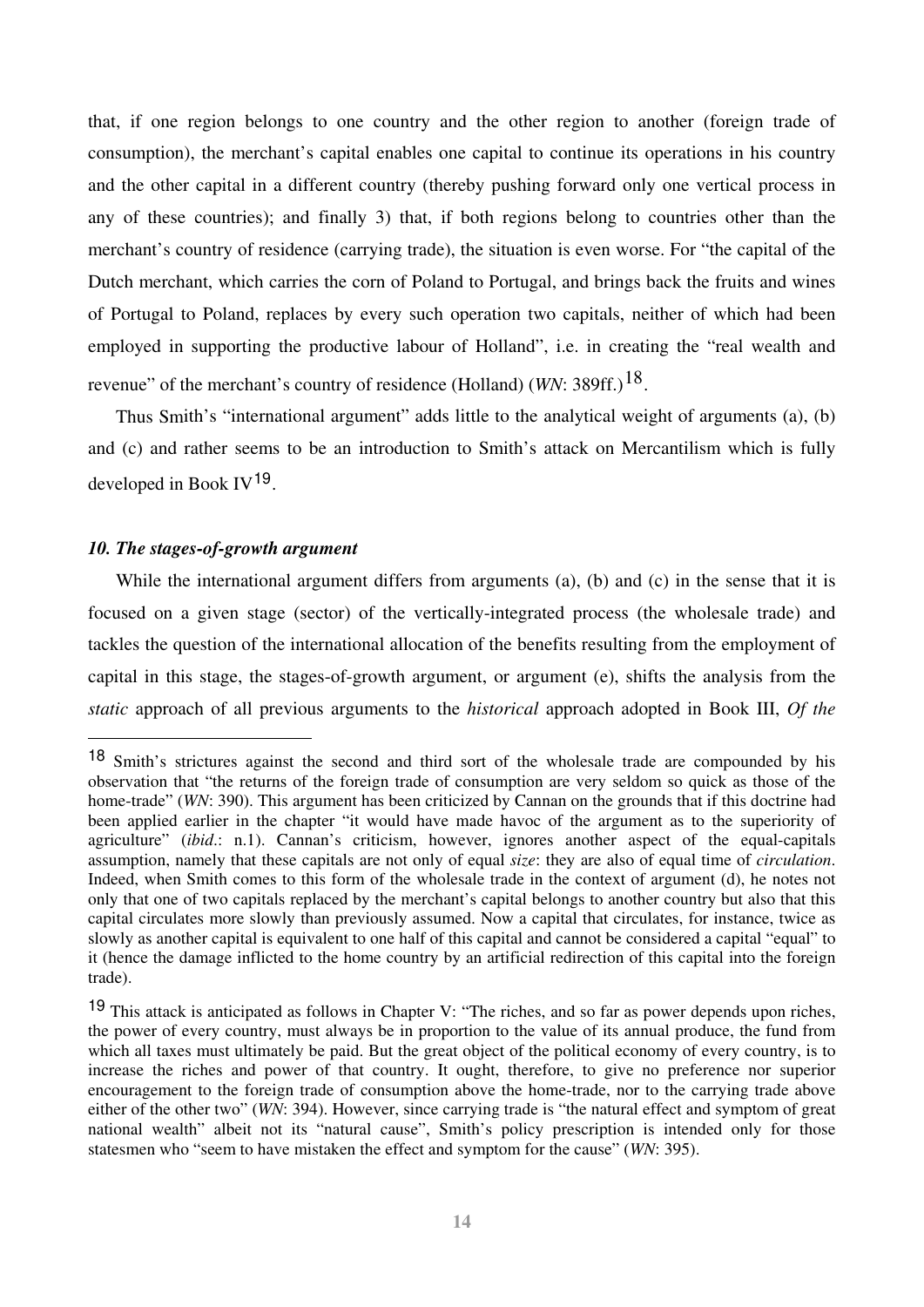that, if one region belongs to one country and the other region to another (foreign trade of consumption), the merchant's capital enables one capital to continue its operations in his country and the other capital in a different country (thereby pushing forward only one vertical process in any of these countries); and finally 3) that, if both regions belong to countries other than the merchant's country of residence (carrying trade), the situation is even worse. For "the capital of the Dutch merchant, which carries the corn of Poland to Portugal, and brings back the fruits and wines of Portugal to Poland, replaces by every such operation two capitals, neither of which had been employed in supporting the productive labour of Holland", i.e. in creating the "real wealth and revenue" of the merchant's country of residence (Holland) (*WN*: 389ff.)<sup>[18](#page-14-0)</sup>.

Thus Smith's "international argument" adds little to the analytical weight of arguments (a), (b) and (c) and rather seems to be an introduction to Smith's attack on Mercantilism which is fully developed in Book IV<sup>[19](#page-14-1)</sup>.

#### *10. The stages-of-growth argument*

 $\overline{a}$ 

While the international argument differs from arguments (a), (b) and (c) in the sense that it is focused on a given stage (sector) of the vertically-integrated process (the wholesale trade) and tackles the question of the international allocation of the benefits resulting from the employment of capital in this stage, the stages-of-growth argument, or argument (e), shifts the analysis from the *static* approach of all previous arguments to the *historical* approach adopted in Book III, *Of the* 

<span id="page-14-0"></span><sup>18</sup> Smith's strictures against the second and third sort of the wholesale trade are compounded by his observation that "the returns of the foreign trade of consumption are very seldom so quick as those of the home-trade" (*WN*: 390). This argument has been criticized by Cannan on the grounds that if this doctrine had been applied earlier in the chapter "it would have made havoc of the argument as to the superiority of agriculture" (*ibid*.: n.1). Cannan's criticism, however, ignores another aspect of the equal-capitals assumption, namely that these capitals are not only of equal *size*: they are also of equal time of *circulation*. Indeed, when Smith comes to this form of the wholesale trade in the context of argument (d), he notes not only that one of two capitals replaced by the merchant's capital belongs to another country but also that this capital circulates more slowly than previously assumed. Now a capital that circulates, for instance, twice as slowly as another capital is equivalent to one half of this capital and cannot be considered a capital "equal" to it (hence the damage inflicted to the home country by an artificial redirection of this capital into the foreign trade).

<span id="page-14-1"></span><sup>19</sup> This attack is anticipated as follows in Chapter V: "The riches, and so far as power depends upon riches, the power of every country, must always be in proportion to the value of its annual produce, the fund from which all taxes must ultimately be paid. But the great object of the political economy of every country, is to increase the riches and power of that country. It ought, therefore, to give no preference nor superior encouragement to the foreign trade of consumption above the home-trade, nor to the carrying trade above either of the other two" (*WN*: 394). However, since carrying trade is "the natural effect and symptom of great national wealth" albeit not its "natural cause", Smith's policy prescription is intended only for those statesmen who "seem to have mistaken the effect and symptom for the cause" (*WN*: 395).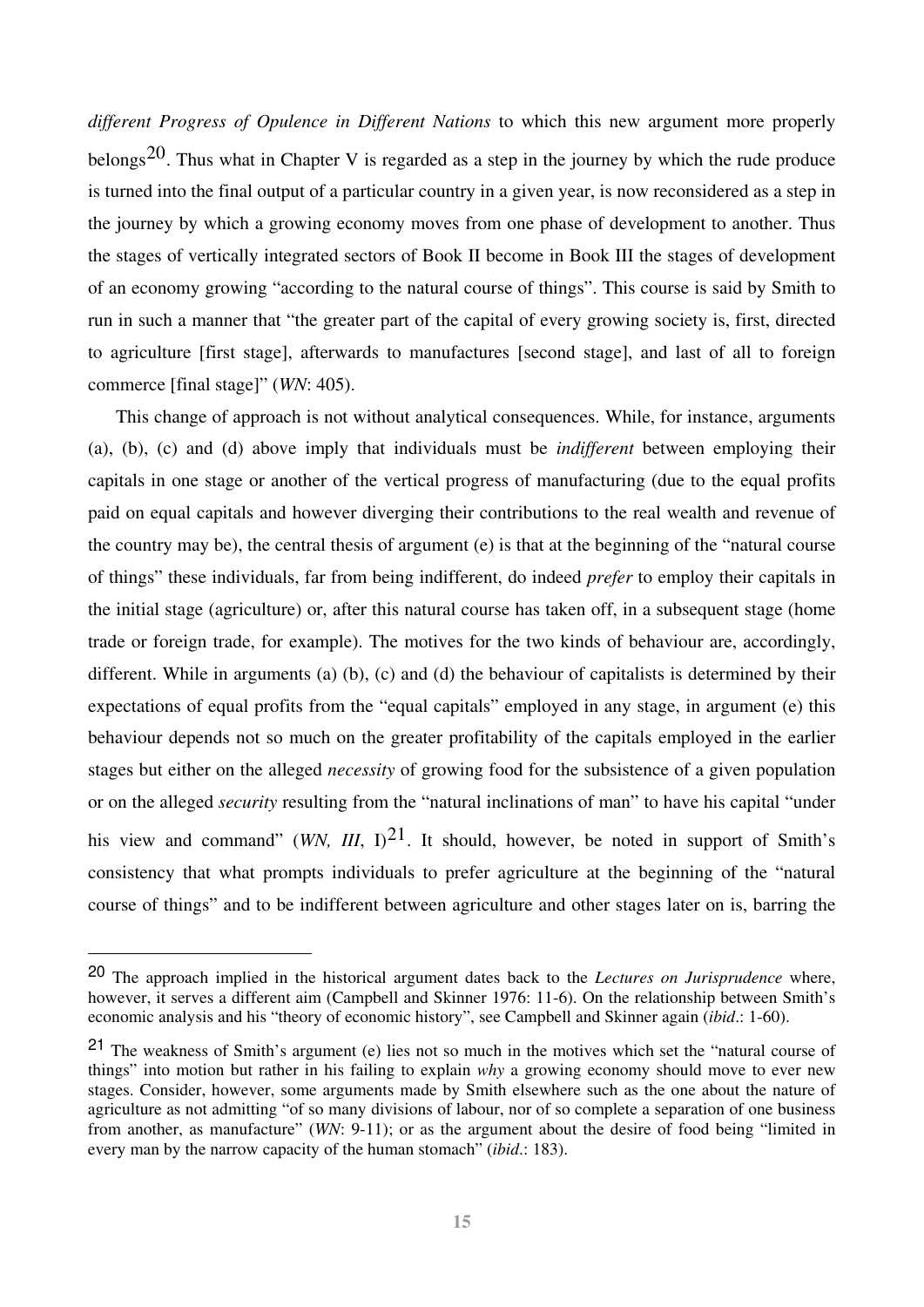*different Progress of Opulence in Different Nations* to which this new argument more properly belongs<sup>[20](#page-15-0)</sup>. Thus what in Chapter V is regarded as a step in the journey by which the rude produce is turned into the final output of a particular country in a given year, is now reconsidered as a step in the journey by which a growing economy moves from one phase of development to another. Thus the stages of vertically integrated sectors of Book II become in Book III the stages of development of an economy growing "according to the natural course of things". This course is said by Smith to run in such a manner that "the greater part of the capital of every growing society is, first, directed to agriculture [first stage], afterwards to manufactures [second stage], and last of all to foreign commerce [final stage]" (*WN*: 405).

This change of approach is not without analytical consequences. While, for instance, arguments (a), (b), (c) and (d) above imply that individuals must be *indifferent* between employing their capitals in one stage or another of the vertical progress of manufacturing (due to the equal profits paid on equal capitals and however diverging their contributions to the real wealth and revenue of the country may be), the central thesis of argument (e) is that at the beginning of the "natural course of things" these individuals, far from being indifferent, do indeed *prefer* to employ their capitals in the initial stage (agriculture) or, after this natural course has taken off, in a subsequent stage (home trade or foreign trade, for example). The motives for the two kinds of behaviour are, accordingly, different. While in arguments (a) (b), (c) and (d) the behaviour of capitalists is determined by their expectations of equal profits from the "equal capitals" employed in any stage, in argument (e) this behaviour depends not so much on the greater profitability of the capitals employed in the earlier stages but either on the alleged *necessity* of growing food for the subsistence of a given population or on the alleged *security* resulting from the "natural inclinations of man" to have his capital "under his view and command" (*WN, III,*  $I$ *i*)<sup>[21](#page-15-1)</sup>. It should, however, be noted in support of Smith's consistency that what prompts individuals to prefer agriculture at the beginning of the "natural course of things" and to be indifferent between agriculture and other stages later on is, barring the

<span id="page-15-0"></span><sup>20</sup> The approach implied in the historical argument dates back to the *Lectures on Jurisprudence* where, however, it serves a different aim (Campbell and Skinner 1976: 11-6). On the relationship between Smith's economic analysis and his "theory of economic history", see Campbell and Skinner again (*ibid*.: 1-60).

<span id="page-15-1"></span><sup>21</sup> The weakness of Smith's argument (e) lies not so much in the motives which set the "natural course of things" into motion but rather in his failing to explain *why* a growing economy should move to ever new stages. Consider, however, some arguments made by Smith elsewhere such as the one about the nature of agriculture as not admitting "of so many divisions of labour, nor of so complete a separation of one business from another, as manufacture" (*WN*: 9-11); or as the argument about the desire of food being "limited in every man by the narrow capacity of the human stomach" (*ibid*.: 183).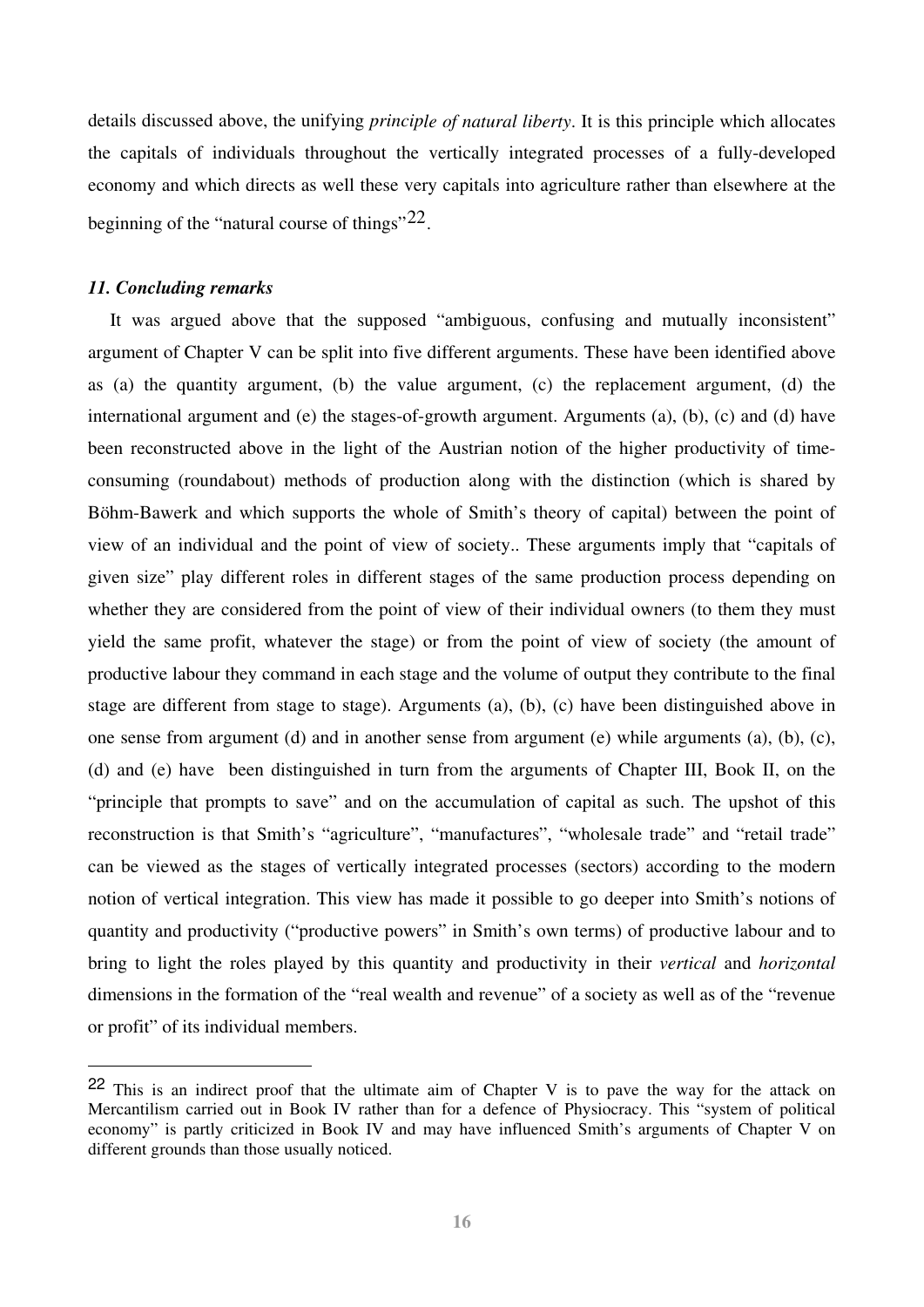details discussed above, the unifying *principle of natural liberty*. It is this principle which allocates the capitals of individuals throughout the vertically integrated processes of a fully-developed economy and which directs as well these very capitals into agriculture rather than elsewhere at the beginning of the "natural course of things"<sup>[22](#page-16-0)</sup>.

#### *11. Concluding remarks*

 $\overline{a}$ 

It was argued above that the supposed "ambiguous, confusing and mutually inconsistent" argument of Chapter V can be split into five different arguments. These have been identified above as (a) the quantity argument, (b) the value argument, (c) the replacement argument, (d) the international argument and (e) the stages-of-growth argument. Arguments (a), (b), (c) and (d) have been reconstructed above in the light of the Austrian notion of the higher productivity of timeconsuming (roundabout) methods of production along with the distinction (which is shared by Böhm-Bawerk and which supports the whole of Smith's theory of capital) between the point of view of an individual and the point of view of society.. These arguments imply that "capitals of given size" play different roles in different stages of the same production process depending on whether they are considered from the point of view of their individual owners (to them they must yield the same profit, whatever the stage) or from the point of view of society (the amount of productive labour they command in each stage and the volume of output they contribute to the final stage are different from stage to stage). Arguments (a), (b), (c) have been distinguished above in one sense from argument (d) and in another sense from argument (e) while arguments (a), (b), (c), (d) and (e) have been distinguished in turn from the arguments of Chapter III, Book II, on the "principle that prompts to save" and on the accumulation of capital as such. The upshot of this reconstruction is that Smith's "agriculture", "manufactures", "wholesale trade" and "retail trade" can be viewed as the stages of vertically integrated processes (sectors) according to the modern notion of vertical integration. This view has made it possible to go deeper into Smith's notions of quantity and productivity ("productive powers" in Smith's own terms) of productive labour and to bring to light the roles played by this quantity and productivity in their *vertical* and *horizontal* dimensions in the formation of the "real wealth and revenue" of a society as well as of the "revenue or profit" of its individual members.

<span id="page-16-0"></span> $22$  This is an indirect proof that the ultimate aim of Chapter V is to pave the way for the attack on Mercantilism carried out in Book IV rather than for a defence of Physiocracy. This "system of political economy" is partly criticized in Book IV and may have influenced Smith's arguments of Chapter V on different grounds than those usually noticed.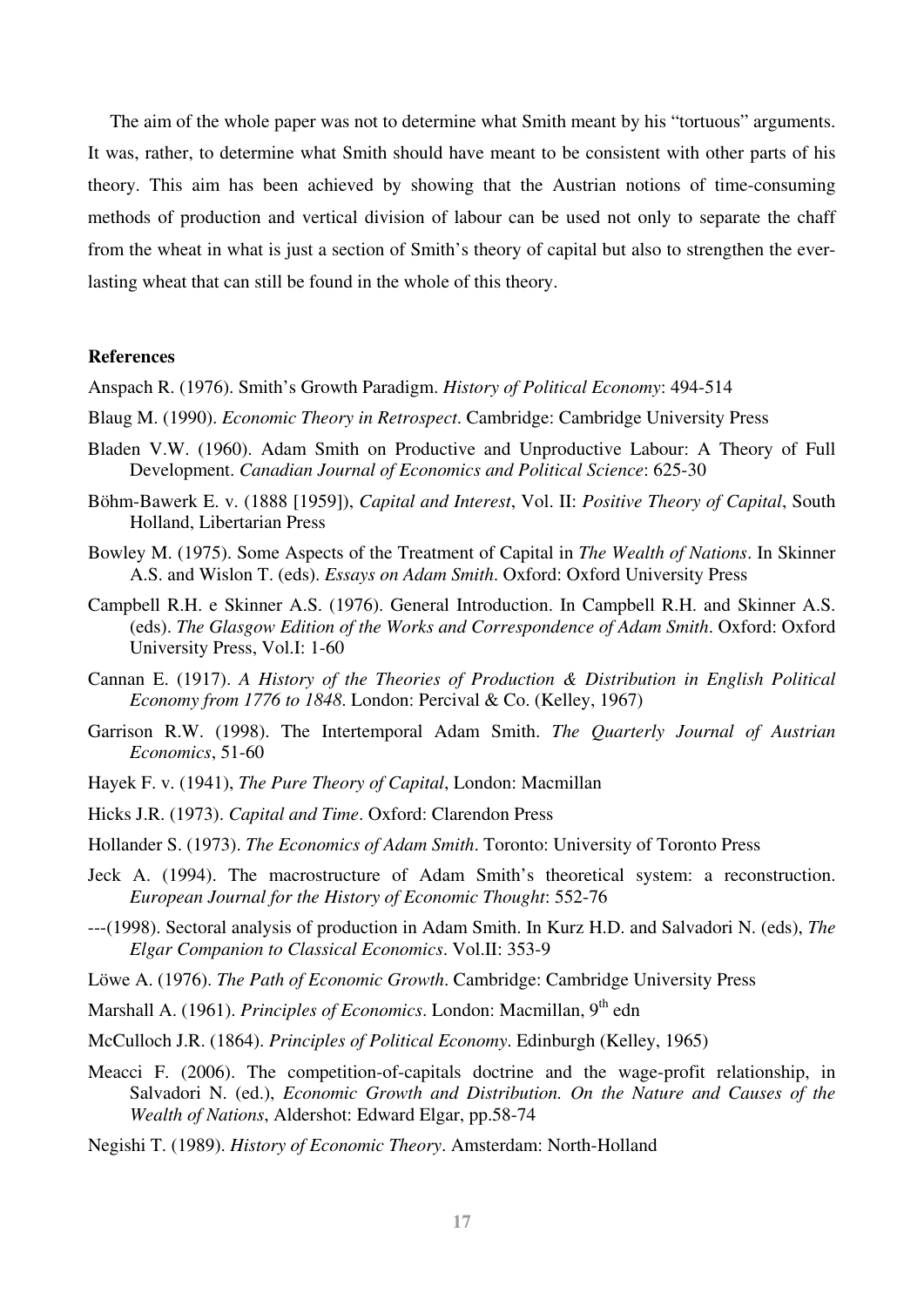The aim of the whole paper was not to determine what Smith meant by his "tortuous" arguments. It was, rather, to determine what Smith should have meant to be consistent with other parts of his theory. This aim has been achieved by showing that the Austrian notions of time-consuming methods of production and vertical division of labour can be used not only to separate the chaff from the wheat in what is just a section of Smith's theory of capital but also to strengthen the everlasting wheat that can still be found in the whole of this theory.

#### **References**

- Anspach R. (1976). Smith's Growth Paradigm. *History of Political Economy*: 494-514
- Blaug M. (1990). *Economic Theory in Retrospect*. Cambridge: Cambridge University Press
- Bladen V.W. (1960). Adam Smith on Productive and Unproductive Labour: A Theory of Full Development. *Canadian Journal of Economics and Political Science*: 625-30
- Böhm-Bawerk E. v. (1888 [1959]), *Capital and Interest*, Vol. II: *Positive Theory of Capital*, South Holland, Libertarian Press
- Bowley M. (1975). Some Aspects of the Treatment of Capital in *The Wealth of Nations*. In Skinner A.S. and Wislon T. (eds). *Essays on Adam Smith*. Oxford: Oxford University Press
- Campbell R.H. e Skinner A.S. (1976). General Introduction. In Campbell R.H. and Skinner A.S. (eds). *The Glasgow Edition of the Works and Correspondence of Adam Smith*. Oxford: Oxford University Press, Vol.I: 1-60
- Cannan E. (1917). *A History of the Theories of Production & Distribution in English Political Economy from 1776 to 1848*. London: Percival & Co. (Kelley, 1967)
- Garrison R.W. (1998). The Intertemporal Adam Smith. *The Quarterly Journal of Austrian Economics*, 51-60
- Hayek F. v. (1941), *The Pure Theory of Capital*, London: Macmillan
- Hicks J.R. (1973). *Capital and Time*. Oxford: Clarendon Press
- Hollander S. (1973). *The Economics of Adam Smith*. Toronto: University of Toronto Press
- Jeck A. (1994). The macrostructure of Adam Smith's theoretical system: a reconstruction. *European Journal for the History of Economic Thought*: 552-76
- ---(1998). Sectoral analysis of production in Adam Smith. In Kurz H.D. and Salvadori N. (eds), *The Elgar Companion to Classical Economics*. Vol.II: 353-9
- Löwe A. (1976). *The Path of Economic Growth*. Cambridge: Cambridge University Press
- Marshall A. (1961). *Principles of Economics*. London: Macmillan, 9<sup>th</sup> edn
- McCulloch J.R. (1864). *Principles of Political Economy*. Edinburgh (Kelley, 1965)
- Meacci F. (2006). The competition-of-capitals doctrine and the wage-profit relationship, in Salvadori N. (ed.), *Economic Growth and Distribution. On the Nature and Causes of the Wealth of Nations*, Aldershot: Edward Elgar, pp.58-74
- Negishi T. (1989). *History of Economic Theory*. Amsterdam: North-Holland